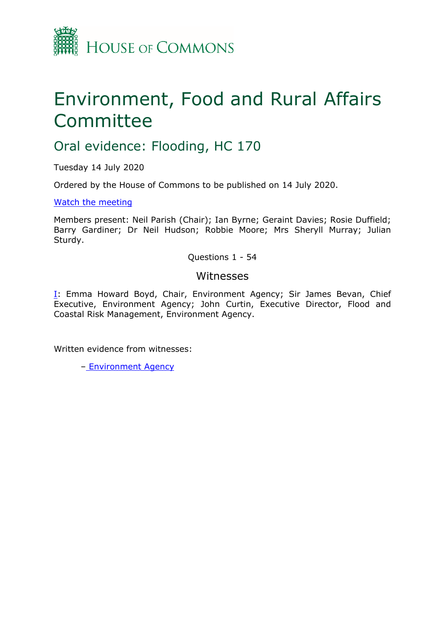

# Environment, Food and Rural Affairs Committee

# Oral evidence: Flooding, HC 170

Tuesday 14 July 2020

Ordered by the House of Commons to be published on 14 July 2020.

[Watch](https://parliamentlive.tv/Event/Index/8b7cad3e-4900-43f4-9fc9-7bcd19d99d8c) [the](https://parliamentlive.tv/Event/Index/8b7cad3e-4900-43f4-9fc9-7bcd19d99d8c) [meeting](https://parliamentlive.tv/Event/Index/8b7cad3e-4900-43f4-9fc9-7bcd19d99d8c)

Members present: Neil Parish (Chair); Ian Byrne; Geraint Davies; Rosie Duffield; Barry Gardiner; Dr Neil Hudson; Robbie Moore; Mrs Sheryll Murray; Julian Sturdy.

Questions 1 - 54

### Witnesses

[I:](#page-1-0) Emma Howard Boyd, Chair, Environment Agency; Sir James Bevan, Chief Executive, Environment Agency; John Curtin, Executive Director, Flood and Coastal Risk Management, Environment Agency.

Written evidence from witnesses:

– [Environment](https://committees.parliament.uk/writtenevidence/5079/pdf/) [Agency](https://committees.parliament.uk/writtenevidence/5079/pdf/)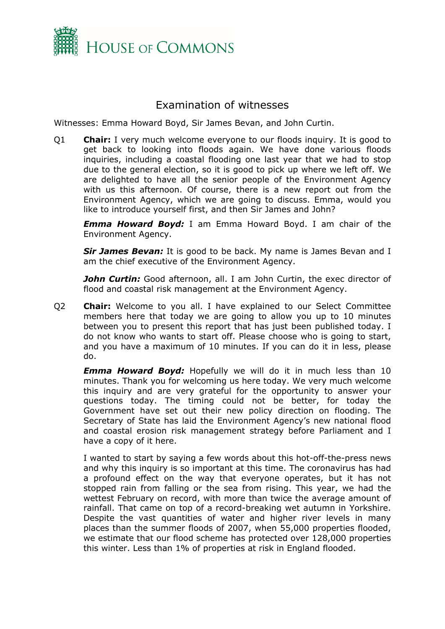

## <span id="page-1-0"></span>Examination of witnesses

Witnesses: Emma Howard Boyd, Sir James Bevan, and John Curtin.

Q1 **Chair:** I very much welcome everyone to our floods inquiry. It is good to get back to looking into floods again. We have done various floods inquiries, including a coastal flooding one last year that we had to stop due to the general election, so it is good to pick up where we left off. We are delighted to have all the senior people of the Environment Agency with us this afternoon. Of course, there is a new report out from the Environment Agency, which we are going to discuss. Emma, would you like to introduce yourself first, and then Sir James and John?

*Emma Howard Boyd:* I am Emma Howard Boyd. I am chair of the Environment Agency.

*Sir James Bevan:* It is good to be back. My name is James Bevan and I am the chief executive of the Environment Agency.

*John Curtin:* Good afternoon, all. I am John Curtin, the exec director of flood and coastal risk management at the Environment Agency.

Q2 **Chair:** Welcome to you all. I have explained to our Select Committee members here that today we are going to allow you up to 10 minutes between you to present this report that has just been published today. I do not know who wants to start off. Please choose who is going to start, and you have a maximum of 10 minutes. If you can do it in less, please do.

*Emma Howard Boyd:* Hopefully we will do it in much less than 10 minutes. Thank you for welcoming us here today. We very much welcome this inquiry and are very grateful for the opportunity to answer your questions today. The timing could not be better, for today the Government have set out their new policy direction on flooding. The Secretary of State has laid the Environment Agency's new national flood and coastal erosion risk management strategy before Parliament and I have a copy of it here.

I wanted to start by saying a few words about this hot-off-the-press news and why this inquiry is so important at this time. The coronavirus has had a profound effect on the way that everyone operates, but it has not stopped rain from falling or the sea from rising. This year, we had the wettest February on record, with more than twice the average amount of rainfall. That came on top of a record-breaking wet autumn in Yorkshire. Despite the vast quantities of water and higher river levels in many places than the summer floods of 2007, when 55,000 properties flooded, we estimate that our flood scheme has protected over 128,000 properties this winter. Less than 1% of properties at risk in England flooded.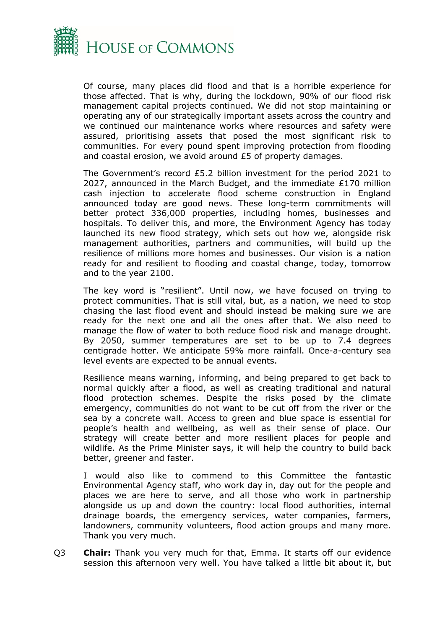

Of course, many places did flood and that is a horrible experience for those affected. That is why, during the lockdown, 90% of our flood risk management capital projects continued. We did not stop maintaining or operating any of our strategically important assets across the country and we continued our maintenance works where resources and safety were assured, prioritising assets that posed the most significant risk to communities. For every pound spent improving protection from flooding and coastal erosion, we avoid around £5 of property damages.

The Government's record £5.2 billion investment for the period 2021 to 2027, announced in the March Budget, and the immediate £170 million cash injection to accelerate flood scheme construction in England announced today are good news. These long-term commitments will better protect 336,000 properties, including homes, businesses and hospitals. To deliver this, and more, the Environment Agency has today launched its new flood strategy, which sets out how we, alongside risk management authorities, partners and communities, will build up the resilience of millions more homes and businesses. Our vision is a nation ready for and resilient to flooding and coastal change, today, tomorrow and to the year 2100.

The key word is "resilient". Until now, we have focused on trying to protect communities. That is still vital, but, as a nation, we need to stop chasing the last flood event and should instead be making sure we are ready for the next one and all the ones after that. We also need to manage the flow of water to both reduce flood risk and manage drought. By 2050, summer temperatures are set to be up to 7.4 degrees centigrade hotter. We anticipate 59% more rainfall. Once-a-century sea level events are expected to be annual events.

Resilience means warning, informing, and being prepared to get back to normal quickly after a flood, as well as creating traditional and natural flood protection schemes. Despite the risks posed by the climate emergency, communities do not want to be cut off from the river or the sea by a concrete wall. Access to green and blue space is essential for people's health and wellbeing, as well as their sense of place. Our strategy will create better and more resilient places for people and wildlife. As the Prime Minister says, it will help the country to build back better, greener and faster.

I would also like to commend to this Committee the fantastic Environmental Agency staff, who work day in, day out for the people and places we are here to serve, and all those who work in partnership alongside us up and down the country: local flood authorities, internal drainage boards, the emergency services, water companies, farmers, landowners, community volunteers, flood action groups and many more. Thank you very much.

Q3 **Chair:** Thank you very much for that, Emma. It starts off our evidence session this afternoon very well. You have talked a little bit about it, but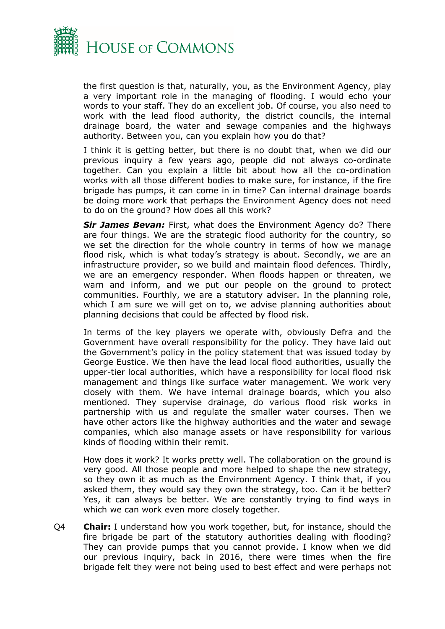

the first question is that, naturally, you, as the Environment Agency, play a very important role in the managing of flooding. I would echo your words to your staff. They do an excellent job. Of course, you also need to work with the lead flood authority, the district councils, the internal drainage board, the water and sewage companies and the highways authority. Between you, can you explain how you do that?

I think it is getting better, but there is no doubt that, when we did our previous inquiry a few years ago, people did not always co-ordinate together. Can you explain a little bit about how all the co-ordination works with all those different bodies to make sure, for instance, if the fire brigade has pumps, it can come in in time? Can internal drainage boards be doing more work that perhaps the Environment Agency does not need to do on the ground? How does all this work?

*Sir James Bevan:* First, what does the Environment Agency do? There are four things. We are the strategic flood authority for the country, so we set the direction for the whole country in terms of how we manage flood risk, which is what today's strategy is about. Secondly, we are an infrastructure provider, so we build and maintain flood defences. Thirdly, we are an emergency responder. When floods happen or threaten, we warn and inform, and we put our people on the ground to protect communities. Fourthly, we are a statutory adviser. In the planning role, which I am sure we will get on to, we advise planning authorities about planning decisions that could be affected by flood risk.

In terms of the key players we operate with, obviously Defra and the Government have overall responsibility for the policy. They have laid out the Government's policy in the policy statement that was issued today by George Eustice. We then have the lead local flood authorities, usually the upper-tier local authorities, which have a responsibility for local flood risk management and things like surface water management. We work very closely with them. We have internal drainage boards, which you also mentioned. They supervise drainage, do various flood risk works in partnership with us and regulate the smaller water courses. Then we have other actors like the highway authorities and the water and sewage companies, which also manage assets or have responsibility for various kinds of flooding within their remit.

How does it work? It works pretty well. The collaboration on the ground is very good. All those people and more helped to shape the new strategy, so they own it as much as the Environment Agency. I think that, if you asked them, they would say they own the strategy, too. Can it be better? Yes, it can always be better. We are constantly trying to find ways in which we can work even more closely together.

Q4 **Chair:** I understand how you work together, but, for instance, should the fire brigade be part of the statutory authorities dealing with flooding? They can provide pumps that you cannot provide. I know when we did our previous inquiry, back in 2016, there were times when the fire brigade felt they were not being used to best effect and were perhaps not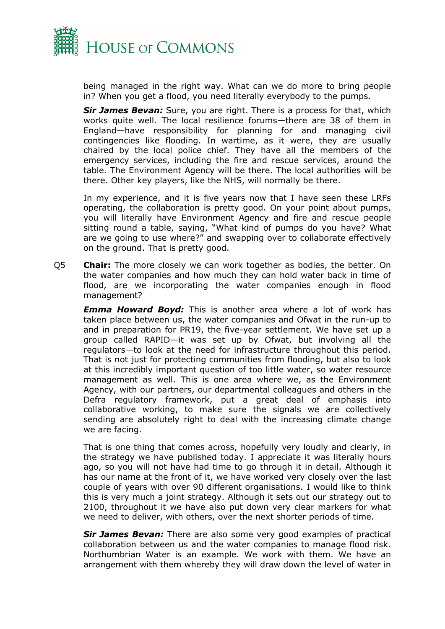

being managed in the right way. What can we do more to bring people in? When you get a flood, you need literally everybody to the pumps.

*Sir James Bevan:* Sure, you are right. There is a process for that, which works quite well. The local resilience forums—there are 38 of them in England—have responsibility for planning for and managing civil contingencies like flooding. In wartime, as it were, they are usually chaired by the local police chief. They have all the members of the emergency services, including the fire and rescue services, around the table. The Environment Agency will be there. The local authorities will be there. Other key players, like the NHS, will normally be there.

In my experience, and it is five years now that I have seen these LRFs operating, the collaboration is pretty good. On your point about pumps, you will literally have Environment Agency and fire and rescue people sitting round a table, saying, "What kind of pumps do you have? What are we going to use where?" and swapping over to collaborate effectively on the ground. That is pretty good.

Q5 **Chair:** The more closely we can work together as bodies, the better. On the water companies and how much they can hold water back in time of flood, are we incorporating the water companies enough in flood management?

*Emma Howard Boyd:* This is another area where a lot of work has taken place between us, the water companies and Ofwat in the run-up to and in preparation for PR19, the five-year settlement. We have set up a group called RAPID—it was set up by Ofwat, but involving all the regulators—to look at the need for infrastructure throughout this period. That is not just for protecting communities from flooding, but also to look at this incredibly important question of too little water, so water resource management as well. This is one area where we, as the Environment Agency, with our partners, our departmental colleagues and others in the Defra regulatory framework, put a great deal of emphasis into collaborative working, to make sure the signals we are collectively sending are absolutely right to deal with the increasing climate change we are facing.

That is one thing that comes across, hopefully very loudly and clearly, in the strategy we have published today. I appreciate it was literally hours ago, so you will not have had time to go through it in detail. Although it has our name at the front of it, we have worked very closely over the last couple of years with over 90 different organisations. I would like to think this is very much a joint strategy. Although it sets out our strategy out to 2100, throughout it we have also put down very clear markers for what we need to deliver, with others, over the next shorter periods of time.

*Sir James Bevan:* There are also some very good examples of practical collaboration between us and the water companies to manage flood risk. Northumbrian Water is an example. We work with them. We have an arrangement with them whereby they will draw down the level of water in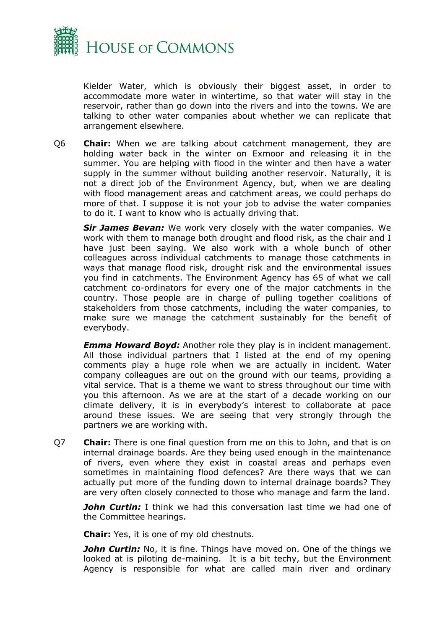

Kielder Water, which is obviously their biggest asset, in order to accommodate more water in wintertime, so that water will stay in the reservoir, rather than go down into the rivers and into the towns. We are talking to other water companies about whether we can replicate that arrangement elsewhere.

Q6 **Chair:** When we are talking about catchment management, they are holding water back in the winter on Exmoor and releasing it in the summer. You are helping with flood in the winter and then have a water supply in the summer without building another reservoir. Naturally, it is not a direct job of the Environment Agency, but, when we are dealing with flood management areas and catchment areas, we could perhaps do more of that. I suppose it is not your job to advise the water companies to do it. I want to know who is actually driving that.

*Sir James Bevan:* We work very closely with the water companies. We work with them to manage both drought and flood risk, as the chair and I have just been saying. We also work with a whole bunch of other colleagues across individual catchments to manage those catchments in ways that manage flood risk, drought risk and the environmental issues you find in catchments. The Environment Agency has 65 of what we call catchment co-ordinators for every one of the major catchments in the country. Those people are in charge of pulling together coalitions of stakeholders from those catchments, including the water companies, to make sure we manage the catchment sustainably for the benefit of everybody.

*Emma Howard Boyd:* Another role they play is in incident management. All those individual partners that I listed at the end of my opening comments play a huge role when we are actually in incident. Water company colleagues are out on the ground with our teams, providing a vital service. That is a theme we want to stress throughout our time with you this afternoon. As we are at the start of a decade working on our climate delivery, it is in everybody's interest to collaborate at pace around these issues. We are seeing that very strongly through the partners we are working with.

Q7 **Chair:** There is one final question from me on this to John, and that is on internal drainage boards. Are they being used enough in the maintenance of rivers, even where they exist in coastal areas and perhaps even sometimes in maintaining flood defences? Are there ways that we can actually put more of the funding down to internal drainage boards? They are very often closely connected to those who manage and farm the land.

*John Curtin:* I think we had this conversation last time we had one of the Committee hearings.

**Chair:** Yes, it is one of my old chestnuts.

*John Curtin:* No, it is fine. Things have moved on. One of the things we looked at is piloting de-maining. It is a bit techy, but the Environment Agency is responsible for what are called main river and ordinary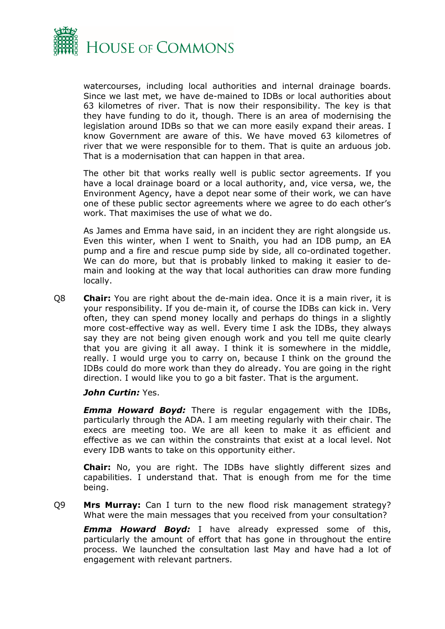

watercourses, including local authorities and internal drainage boards. Since we last met, we have de-mained to IDBs or local authorities about 63 kilometres of river. That is now their responsibility. The key is that they have funding to do it, though. There is an area of modernising the legislation around IDBs so that we can more easily expand their areas. I know Government are aware of this. We have moved 63 kilometres of river that we were responsible for to them. That is quite an arduous job. That is a modernisation that can happen in that area.

The other bit that works really well is public sector agreements. If you have a local drainage board or a local authority, and, vice versa, we, the Environment Agency, have a depot near some of their work, we can have one of these public sector agreements where we agree to do each other's work. That maximises the use of what we do.

As James and Emma have said, in an incident they are right alongside us. Even this winter, when I went to Snaith, you had an IDB pump, an EA pump and a fire and rescue pump side by side, all co-ordinated together. We can do more, but that is probably linked to making it easier to demain and looking at the way that local authorities can draw more funding locally.

Q8 **Chair:** You are right about the de-main idea. Once it is a main river, it is your responsibility. If you de-main it, of course the IDBs can kick in. Very often, they can spend money locally and perhaps do things in a slightly more cost-effective way as well. Every time I ask the IDBs, they always say they are not being given enough work and you tell me quite clearly that you are giving it all away. I think it is somewhere in the middle, really. I would urge you to carry on, because I think on the ground the IDBs could do more work than they do already. You are going in the right direction. I would like you to go a bit faster. That is the argument.

#### *John Curtin:* Yes.

*Emma Howard Boyd:* There is regular engagement with the IDBs, particularly through the ADA. I am meeting regularly with their chair. The execs are meeting too. We are all keen to make it as efficient and effective as we can within the constraints that exist at a local level. Not every IDB wants to take on this opportunity either.

**Chair:** No, you are right. The IDBs have slightly different sizes and capabilities. I understand that. That is enough from me for the time being.

Q9 **Mrs Murray:** Can I turn to the new flood risk management strategy? What were the main messages that you received from your consultation?

*Emma Howard Boyd:* I have already expressed some of this, particularly the amount of effort that has gone in throughout the entire process. We launched the consultation last May and have had a lot of engagement with relevant partners.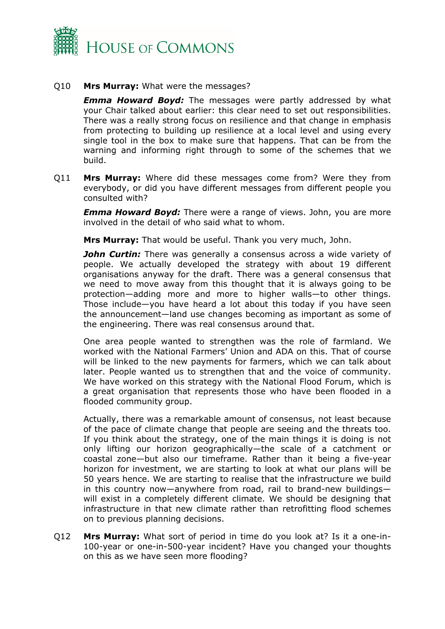

#### Q10 **Mrs Murray:** What were the messages?

*Emma Howard Boyd:* The messages were partly addressed by what your Chair talked about earlier: this clear need to set out responsibilities. There was a really strong focus on resilience and that change in emphasis from protecting to building up resilience at a local level and using every single tool in the box to make sure that happens. That can be from the warning and informing right through to some of the schemes that we build.

Q11 **Mrs Murray:** Where did these messages come from? Were they from everybody, or did you have different messages from different people you consulted with?

*Emma Howard Boyd:* There were a range of views. John, you are more involved in the detail of who said what to whom.

**Mrs Murray:** That would be useful. Thank you very much, John.

**John Curtin:** There was generally a consensus across a wide variety of people. We actually developed the strategy with about 19 different organisations anyway for the draft. There was a general consensus that we need to move away from this thought that it is always going to be protection—adding more and more to higher walls—to other things. Those include—you have heard a lot about this today if you have seen the announcement—land use changes becoming as important as some of the engineering. There was real consensus around that.

One area people wanted to strengthen was the role of farmland. We worked with the National Farmers' Union and ADA on this. That of course will be linked to the new payments for farmers, which we can talk about later. People wanted us to strengthen that and the voice of community. We have worked on this strategy with the National Flood Forum, which is a great organisation that represents those who have been flooded in a flooded community group.

Actually, there was a remarkable amount of consensus, not least because of the pace of climate change that people are seeing and the threats too. If you think about the strategy, one of the main things it is doing is not only lifting our horizon geographically—the scale of a catchment or coastal zone—but also our timeframe. Rather than it being a five-year horizon for investment, we are starting to look at what our plans will be 50 years hence. We are starting to realise that the infrastructure we build in this country now—anywhere from road, rail to brand-new buildings will exist in a completely different climate. We should be designing that infrastructure in that new climate rather than retrofitting flood schemes on to previous planning decisions.

Q12 **Mrs Murray:** What sort of period in time do you look at? Is it a one-in-100-year or one-in-500-year incident? Have you changed your thoughts on this as we have seen more flooding?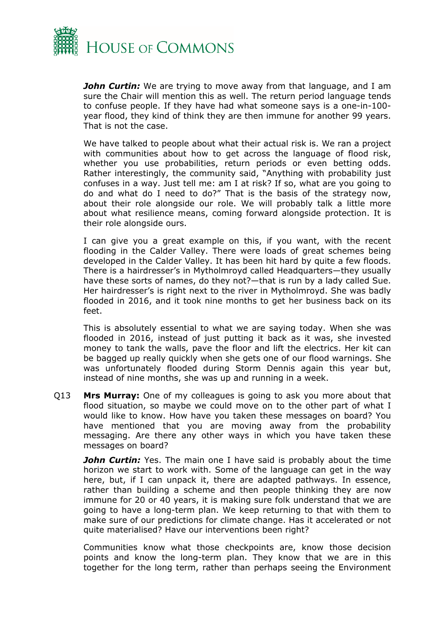

*John Curtin:* We are trying to move away from that language, and I am sure the Chair will mention this as well. The return period language tends to confuse people. If they have had what someone says is a one-in-100 year flood, they kind of think they are then immune for another 99 years. That is not the case.

We have talked to people about what their actual risk is. We ran a project with communities about how to get across the language of flood risk, whether you use probabilities, return periods or even betting odds. Rather interestingly, the community said, "Anything with probability just confuses in a way. Just tell me: am I at risk? If so, what are you going to do and what do I need to do?" That is the basis of the strategy now, about their role alongside our role. We will probably talk a little more about what resilience means, coming forward alongside protection. It is their role alongside ours.

I can give you a great example on this, if you want, with the recent flooding in the Calder Valley. There were loads of great schemes being developed in the Calder Valley. It has been hit hard by quite a few floods. There is a hairdresser's in Mytholmroyd called Headquarters—they usually have these sorts of names, do they not?—that is run by a lady called Sue. Her hairdresser's is right next to the river in Mytholmroyd. She was badly flooded in 2016, and it took nine months to get her business back on its feet.

This is absolutely essential to what we are saying today. When she was flooded in 2016, instead of just putting it back as it was, she invested money to tank the walls, pave the floor and lift the electrics. Her kit can be bagged up really quickly when she gets one of our flood warnings. She was unfortunately flooded during Storm Dennis again this year but, instead of nine months, she was up and running in a week.

Q13 **Mrs Murray:** One of my colleagues is going to ask you more about that flood situation, so maybe we could move on to the other part of what I would like to know. How have you taken these messages on board? You have mentioned that you are moving away from the probability messaging. Are there any other ways in which you have taken these messages on board?

*John Curtin:* Yes. The main one I have said is probably about the time horizon we start to work with. Some of the language can get in the way here, but, if I can unpack it, there are adapted pathways. In essence, rather than building a scheme and then people thinking they are now immune for 20 or 40 years, it is making sure folk understand that we are going to have a long-term plan. We keep returning to that with them to make sure of our predictions for climate change. Has it accelerated or not quite materialised? Have our interventions been right?

Communities know what those checkpoints are, know those decision points and know the long-term plan. They know that we are in this together for the long term, rather than perhaps seeing the Environment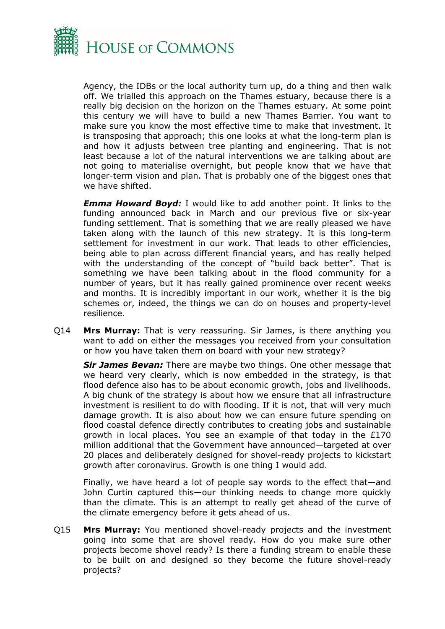

Agency, the IDBs or the local authority turn up, do a thing and then walk off. We trialled this approach on the Thames estuary, because there is a really big decision on the horizon on the Thames estuary. At some point this century we will have to build a new Thames Barrier. You want to make sure you know the most effective time to make that investment. It is transposing that approach; this one looks at what the long-term plan is and how it adjusts between tree planting and engineering. That is not least because a lot of the natural interventions we are talking about are not going to materialise overnight, but people know that we have that longer-term vision and plan. That is probably one of the biggest ones that we have shifted.

*Emma Howard Boyd:* I would like to add another point. It links to the funding announced back in March and our previous five or six-year funding settlement. That is something that we are really pleased we have taken along with the launch of this new strategy. It is this long-term settlement for investment in our work. That leads to other efficiencies, being able to plan across different financial years, and has really helped with the understanding of the concept of "build back better". That is something we have been talking about in the flood community for a number of years, but it has really gained prominence over recent weeks and months. It is incredibly important in our work, whether it is the big schemes or, indeed, the things we can do on houses and property-level resilience.

Q14 **Mrs Murray:** That is very reassuring. Sir James, is there anything you want to add on either the messages you received from your consultation or how you have taken them on board with your new strategy?

*Sir James Bevan:* There are maybe two things. One other message that we heard very clearly, which is now embedded in the strategy, is that flood defence also has to be about economic growth, jobs and livelihoods. A big chunk of the strategy is about how we ensure that all infrastructure investment is resilient to do with flooding. If it is not, that will very much damage growth. It is also about how we can ensure future spending on flood coastal defence directly contributes to creating jobs and sustainable growth in local places. You see an example of that today in the £170 million additional that the Government have announced—targeted at over 20 places and deliberately designed for shovel-ready projects to kickstart growth after coronavirus. Growth is one thing I would add.

Finally, we have heard a lot of people say words to the effect that—and John Curtin captured this—our thinking needs to change more quickly than the climate. This is an attempt to really get ahead of the curve of the climate emergency before it gets ahead of us.

Q15 **Mrs Murray:** You mentioned shovel-ready projects and the investment going into some that are shovel ready. How do you make sure other projects become shovel ready? Is there a funding stream to enable these to be built on and designed so they become the future shovel-ready projects?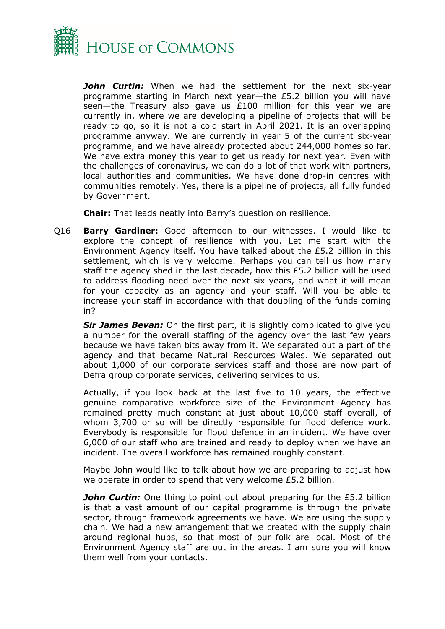

*John Curtin:* When we had the settlement for the next six-year programme starting in March next year—the £5.2 billion you will have seen—the Treasury also gave us £100 million for this year we are currently in, where we are developing a pipeline of projects that will be ready to go, so it is not a cold start in April 2021. It is an overlapping programme anyway. We are currently in year 5 of the current six-year programme, and we have already protected about 244,000 homes so far. We have extra money this year to get us ready for next year. Even with the challenges of coronavirus, we can do a lot of that work with partners, local authorities and communities. We have done drop-in centres with communities remotely. Yes, there is a pipeline of projects, all fully funded by Government.

**Chair:** That leads neatly into Barry's question on resilience.

Q16 **Barry Gardiner:** Good afternoon to our witnesses. I would like to explore the concept of resilience with you. Let me start with the Environment Agency itself. You have talked about the £5.2 billion in this settlement, which is very welcome. Perhaps you can tell us how many staff the agency shed in the last decade, how this £5.2 billion will be used to address flooding need over the next six years, and what it will mean for your capacity as an agency and your staff. Will you be able to increase your staff in accordance with that doubling of the funds coming in?

**Sir James Bevan:** On the first part, it is slightly complicated to give you a number for the overall staffing of the agency over the last few years because we have taken bits away from it. We separated out a part of the agency and that became Natural Resources Wales. We separated out about 1,000 of our corporate services staff and those are now part of Defra group corporate services, delivering services to us.

Actually, if you look back at the last five to 10 years, the effective genuine comparative workforce size of the Environment Agency has remained pretty much constant at just about 10,000 staff overall, of whom 3,700 or so will be directly responsible for flood defence work. Everybody is responsible for flood defence in an incident. We have over 6,000 of our staff who are trained and ready to deploy when we have an incident. The overall workforce has remained roughly constant.

Maybe John would like to talk about how we are preparing to adjust how we operate in order to spend that very welcome £5.2 billion.

*John Curtin:* One thing to point out about preparing for the £5.2 billion is that a vast amount of our capital programme is through the private sector, through framework agreements we have. We are using the supply chain. We had a new arrangement that we created with the supply chain around regional hubs, so that most of our folk are local. Most of the Environment Agency staff are out in the areas. I am sure you will know them well from your contacts.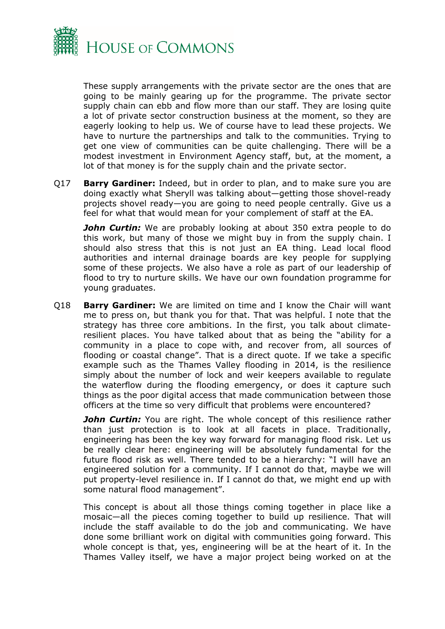

These supply arrangements with the private sector are the ones that are going to be mainly gearing up for the programme. The private sector supply chain can ebb and flow more than our staff. They are losing quite a lot of private sector construction business at the moment, so they are eagerly looking to help us. We of course have to lead these projects. We have to nurture the partnerships and talk to the communities. Trying to get one view of communities can be quite challenging. There will be a modest investment in Environment Agency staff, but, at the moment, a lot of that money is for the supply chain and the private sector.

Q17 **Barry Gardiner:** Indeed, but in order to plan, and to make sure you are doing exactly what Sheryll was talking about—getting those shovel-ready projects shovel ready—you are going to need people centrally. Give us a feel for what that would mean for your complement of staff at the EA.

*John Curtin:* We are probably looking at about 350 extra people to do this work, but many of those we might buy in from the supply chain. I should also stress that this is not just an EA thing. Lead local flood authorities and internal drainage boards are key people for supplying some of these projects. We also have a role as part of our leadership of flood to try to nurture skills. We have our own foundation programme for young graduates.

Q18 **Barry Gardiner:** We are limited on time and I know the Chair will want me to press on, but thank you for that. That was helpful. I note that the strategy has three core ambitions. In the first, you talk about climateresilient places. You have talked about that as being the "ability for a community in a place to cope with, and recover from, all sources of flooding or coastal change". That is a direct quote. If we take a specific example such as the Thames Valley flooding in 2014, is the resilience simply about the number of lock and weir keepers available to regulate the waterflow during the flooding emergency, or does it capture such things as the poor digital access that made communication between those officers at the time so very difficult that problems were encountered?

*John Curtin:* You are right. The whole concept of this resilience rather than just protection is to look at all facets in place. Traditionally, engineering has been the key way forward for managing flood risk. Let us be really clear here: engineering will be absolutely fundamental for the future flood risk as well. There tended to be a hierarchy: "I will have an engineered solution for a community. If I cannot do that, maybe we will put property-level resilience in. If I cannot do that, we might end up with some natural flood management".

This concept is about all those things coming together in place like a mosaic—all the pieces coming together to build up resilience. That will include the staff available to do the job and communicating. We have done some brilliant work on digital with communities going forward. This whole concept is that, yes, engineering will be at the heart of it. In the Thames Valley itself, we have a major project being worked on at the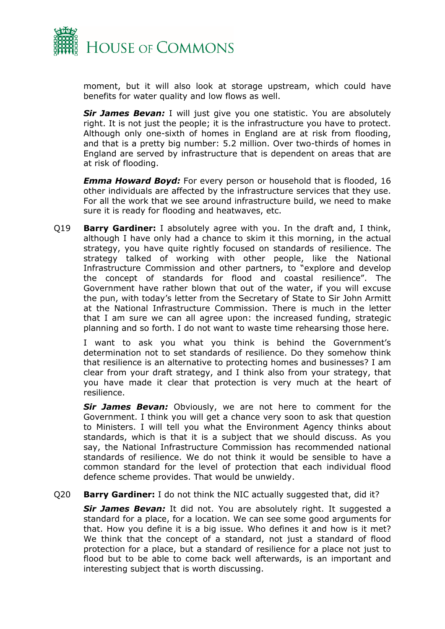

moment, but it will also look at storage upstream, which could have benefits for water quality and low flows as well.

**Sir James Bevan:** I will just give you one statistic. You are absolutely right. It is not just the people; it is the infrastructure you have to protect. Although only one-sixth of homes in England are at risk from flooding, and that is a pretty big number: 5.2 million. Over two-thirds of homes in England are served by infrastructure that is dependent on areas that are at risk of flooding.

*Emma Howard Boyd:* For every person or household that is flooded, 16 other individuals are affected by the infrastructure services that they use. For all the work that we see around infrastructure build, we need to make sure it is ready for flooding and heatwaves, etc.

Q19 **Barry Gardiner:** I absolutely agree with you. In the draft and, I think, although I have only had a chance to skim it this morning, in the actual strategy, you have quite rightly focused on standards of resilience. The strategy talked of working with other people, like the National Infrastructure Commission and other partners, to "explore and develop the concept of standards for flood and coastal resilience". The Government have rather blown that out of the water, if you will excuse the pun, with today's letter from the Secretary of State to Sir John Armitt at the National Infrastructure Commission. There is much in the letter that I am sure we can all agree upon: the increased funding, strategic planning and so forth. I do not want to waste time rehearsing those here.

I want to ask you what you think is behind the Government's determination not to set standards of resilience. Do they somehow think that resilience is an alternative to protecting homes and businesses? I am clear from your draft strategy, and I think also from your strategy, that you have made it clear that protection is very much at the heart of resilience.

*Sir James Bevan:* Obviously, we are not here to comment for the Government. I think you will get a chance very soon to ask that question to Ministers. I will tell you what the Environment Agency thinks about standards, which is that it is a subject that we should discuss. As you say, the National Infrastructure Commission has recommended national standards of resilience. We do not think it would be sensible to have a common standard for the level of protection that each individual flood defence scheme provides. That would be unwieldy.

Q20 **Barry Gardiner:** I do not think the NIC actually suggested that, did it?

*Sir James Bevan:* It did not. You are absolutely right. It suggested a standard for a place, for a location. We can see some good arguments for that. How you define it is a big issue. Who defines it and how is it met? We think that the concept of a standard, not just a standard of flood protection for a place, but a standard of resilience for a place not just to flood but to be able to come back well afterwards, is an important and interesting subject that is worth discussing.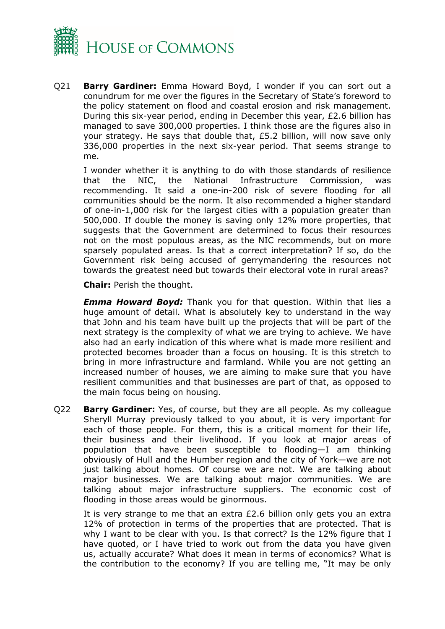

Q21 **Barry Gardiner:** Emma Howard Boyd, I wonder if you can sort out a conundrum for me over the figures in the Secretary of State's foreword to the policy statement on flood and coastal erosion and risk management. During this six-year period, ending in December this year, £2.6 billion has managed to save 300,000 properties. I think those are the figures also in your strategy. He says that double that, £5.2 billion, will now save only 336,000 properties in the next six-year period. That seems strange to me.

I wonder whether it is anything to do with those standards of resilience that the NIC, the National Infrastructure Commission, was recommending. It said a one-in-200 risk of severe flooding for all communities should be the norm. It also recommended a higher standard of one-in-1,000 risk for the largest cities with a population greater than 500,000. If double the money is saving only 12% more properties, that suggests that the Government are determined to focus their resources not on the most populous areas, as the NIC recommends, but on more sparsely populated areas. Is that a correct interpretation? If so, do the Government risk being accused of gerrymandering the resources not towards the greatest need but towards their electoral vote in rural areas?

**Chair:** Perish the thought.

*Emma Howard Boyd:* Thank you for that question. Within that lies a huge amount of detail. What is absolutely key to understand in the way that John and his team have built up the projects that will be part of the next strategy is the complexity of what we are trying to achieve. We have also had an early indication of this where what is made more resilient and protected becomes broader than a focus on housing. It is this stretch to bring in more infrastructure and farmland. While you are not getting an increased number of houses, we are aiming to make sure that you have resilient communities and that businesses are part of that, as opposed to the main focus being on housing.

Q22 **Barry Gardiner:** Yes, of course, but they are all people. As my colleague Sheryll Murray previously talked to you about, it is very important for each of those people. For them, this is a critical moment for their life, their business and their livelihood. If you look at major areas of population that have been susceptible to flooding—I am thinking obviously of Hull and the Humber region and the city of York—we are not just talking about homes. Of course we are not. We are talking about major businesses. We are talking about major communities. We are talking about major infrastructure suppliers. The economic cost of flooding in those areas would be ginormous.

It is very strange to me that an extra £2.6 billion only gets you an extra 12% of protection in terms of the properties that are protected. That is why I want to be clear with you. Is that correct? Is the 12% figure that I have quoted, or I have tried to work out from the data you have given us, actually accurate? What does it mean in terms of economics? What is the contribution to the economy? If you are telling me, "It may be only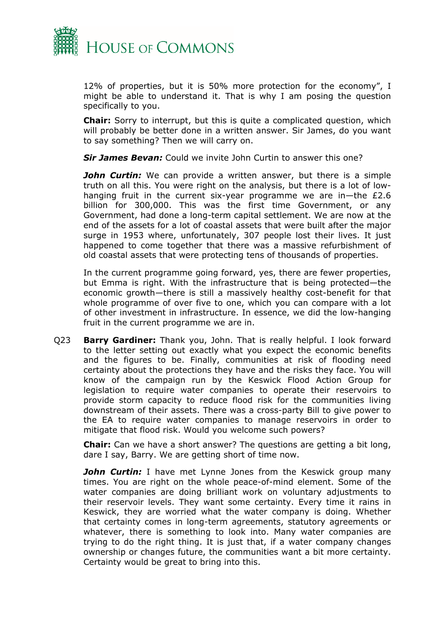

12% of properties, but it is 50% more protection for the economy", I might be able to understand it. That is why I am posing the question specifically to you.

**Chair:** Sorry to interrupt, but this is quite a complicated question, which will probably be better done in a written answer. Sir James, do you want to say something? Then we will carry on.

*Sir James Bevan:* Could we invite John Curtin to answer this one?

*John Curtin:* We can provide a written answer, but there is a simple truth on all this. You were right on the analysis, but there is a lot of lowhanging fruit in the current six-year programme we are in—the £2.6 billion for 300,000. This was the first time Government, or any Government, had done a long-term capital settlement. We are now at the end of the assets for a lot of coastal assets that were built after the major surge in 1953 where, unfortunately, 307 people lost their lives. It just happened to come together that there was a massive refurbishment of old coastal assets that were protecting tens of thousands of properties.

In the current programme going forward, yes, there are fewer properties, but Emma is right. With the infrastructure that is being protected—the economic growth—there is still a massively healthy cost-benefit for that whole programme of over five to one, which you can compare with a lot of other investment in infrastructure. In essence, we did the low-hanging fruit in the current programme we are in.

Q23 **Barry Gardiner:** Thank you, John. That is really helpful. I look forward to the letter setting out exactly what you expect the economic benefits and the figures to be. Finally, communities at risk of flooding need certainty about the protections they have and the risks they face. You will know of the campaign run by the Keswick Flood Action Group for legislation to require water companies to operate their reservoirs to provide storm capacity to reduce flood risk for the communities living downstream of their assets. There was a cross-party Bill to give power to the EA to require water companies to manage reservoirs in order to mitigate that flood risk. Would you welcome such powers?

**Chair:** Can we have a short answer? The questions are getting a bit long, dare I say, Barry. We are getting short of time now.

**John Curtin:** I have met Lynne Jones from the Keswick group many times. You are right on the whole peace-of-mind element. Some of the water companies are doing brilliant work on voluntary adjustments to their reservoir levels. They want some certainty. Every time it rains in Keswick, they are worried what the water company is doing. Whether that certainty comes in long-term agreements, statutory agreements or whatever, there is something to look into. Many water companies are trying to do the right thing. It is just that, if a water company changes ownership or changes future, the communities want a bit more certainty. Certainty would be great to bring into this.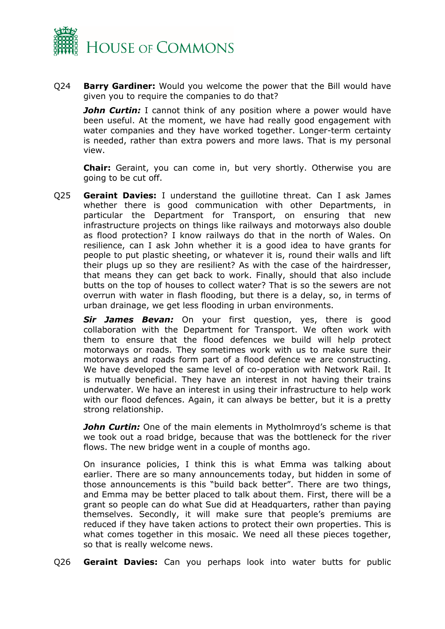

Q24 **Barry Gardiner:** Would you welcome the power that the Bill would have given you to require the companies to do that?

*John Curtin:* I cannot think of any position where a power would have been useful. At the moment, we have had really good engagement with water companies and they have worked together. Longer-term certainty is needed, rather than extra powers and more laws. That is my personal view.

**Chair:** Geraint, you can come in, but very shortly. Otherwise you are going to be cut off.

Q25 **Geraint Davies:** I understand the guillotine threat. Can I ask James whether there is good communication with other Departments, in particular the Department for Transport, on ensuring that new infrastructure projects on things like railways and motorways also double as flood protection? I know railways do that in the north of Wales. On resilience, can I ask John whether it is a good idea to have grants for people to put plastic sheeting, or whatever it is, round their walls and lift their plugs up so they are resilient? As with the case of the hairdresser, that means they can get back to work. Finally, should that also include butts on the top of houses to collect water? That is so the sewers are not overrun with water in flash flooding, but there is a delay, so, in terms of urban drainage, we get less flooding in urban environments.

*Sir James Bevan:* On your first question, yes, there is good collaboration with the Department for Transport. We often work with them to ensure that the flood defences we build will help protect motorways or roads. They sometimes work with us to make sure their motorways and roads form part of a flood defence we are constructing. We have developed the same level of co-operation with Network Rail. It is mutually beneficial. They have an interest in not having their trains underwater. We have an interest in using their infrastructure to help work with our flood defences. Again, it can always be better, but it is a pretty strong relationship.

*John Curtin:* One of the main elements in Mytholmroyd's scheme is that we took out a road bridge, because that was the bottleneck for the river flows. The new bridge went in a couple of months ago.

On insurance policies, I think this is what Emma was talking about earlier. There are so many announcements today, but hidden in some of those announcements is this "build back better". There are two things, and Emma may be better placed to talk about them. First, there will be a grant so people can do what Sue did at Headquarters, rather than paying themselves. Secondly, it will make sure that people's premiums are reduced if they have taken actions to protect their own properties. This is what comes together in this mosaic. We need all these pieces together, so that is really welcome news.

Q26 **Geraint Davies:** Can you perhaps look into water butts for public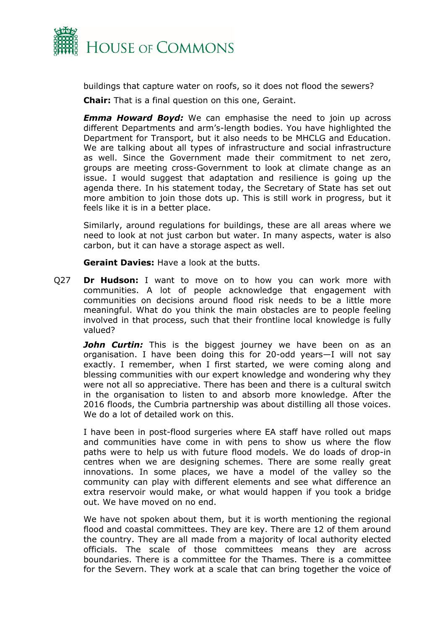

buildings that capture water on roofs, so it does not flood the sewers?

**Chair:** That is a final question on this one, Geraint.

*Emma Howard Boyd:* We can emphasise the need to join up across different Departments and arm's-length bodies. You have highlighted the Department for Transport, but it also needs to be MHCLG and Education. We are talking about all types of infrastructure and social infrastructure as well. Since the Government made their commitment to net zero, groups are meeting cross-Government to look at climate change as an issue. I would suggest that adaptation and resilience is going up the agenda there. In his statement today, the Secretary of State has set out more ambition to join those dots up. This is still work in progress, but it feels like it is in a better place.

Similarly, around regulations for buildings, these are all areas where we need to look at not just carbon but water. In many aspects, water is also carbon, but it can have a storage aspect as well.

**Geraint Davies:** Have a look at the butts.

Q27 **Dr Hudson:** I want to move on to how you can work more with communities. A lot of people acknowledge that engagement with communities on decisions around flood risk needs to be a little more meaningful. What do you think the main obstacles are to people feeling involved in that process, such that their frontline local knowledge is fully valued?

*John Curtin:* This is the biggest journey we have been on as an organisation. I have been doing this for 20-odd years—I will not say exactly. I remember, when I first started, we were coming along and blessing communities with our expert knowledge and wondering why they were not all so appreciative. There has been and there is a cultural switch in the organisation to listen to and absorb more knowledge. After the 2016 floods, the Cumbria partnership was about distilling all those voices. We do a lot of detailed work on this.

I have been in post-flood surgeries where EA staff have rolled out maps and communities have come in with pens to show us where the flow paths were to help us with future flood models. We do loads of drop-in centres when we are designing schemes. There are some really great innovations. In some places, we have a model of the valley so the community can play with different elements and see what difference an extra reservoir would make, or what would happen if you took a bridge out. We have moved on no end.

We have not spoken about them, but it is worth mentioning the regional flood and coastal committees. They are key. There are 12 of them around the country. They are all made from a majority of local authority elected officials. The scale of those committees means they are across boundaries. There is a committee for the Thames. There is a committee for the Severn. They work at a scale that can bring together the voice of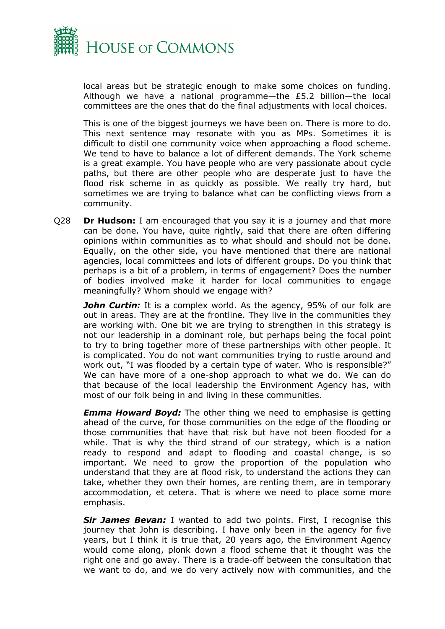

local areas but be strategic enough to make some choices on funding. Although we have a national programme—the £5.2 billion—the local committees are the ones that do the final adjustments with local choices.

This is one of the biggest journeys we have been on. There is more to do. This next sentence may resonate with you as MPs. Sometimes it is difficult to distil one community voice when approaching a flood scheme. We tend to have to balance a lot of different demands. The York scheme is a great example. You have people who are very passionate about cycle paths, but there are other people who are desperate just to have the flood risk scheme in as quickly as possible. We really try hard, but sometimes we are trying to balance what can be conflicting views from a community.

Q28 **Dr Hudson:** I am encouraged that you say it is a journey and that more can be done. You have, quite rightly, said that there are often differing opinions within communities as to what should and should not be done. Equally, on the other side, you have mentioned that there are national agencies, local committees and lots of different groups. Do you think that perhaps is a bit of a problem, in terms of engagement? Does the number of bodies involved make it harder for local communities to engage meaningfully? Whom should we engage with?

**John Curtin:** It is a complex world. As the agency, 95% of our folk are out in areas. They are at the frontline. They live in the communities they are working with. One bit we are trying to strengthen in this strategy is not our leadership in a dominant role, but perhaps being the focal point to try to bring together more of these partnerships with other people. It is complicated. You do not want communities trying to rustle around and work out, "I was flooded by a certain type of water. Who is responsible?" We can have more of a one-shop approach to what we do. We can do that because of the local leadership the Environment Agency has, with most of our folk being in and living in these communities.

*Emma Howard Boyd:* The other thing we need to emphasise is getting ahead of the curve, for those communities on the edge of the flooding or those communities that have that risk but have not been flooded for a while. That is why the third strand of our strategy, which is a nation ready to respond and adapt to flooding and coastal change, is so important. We need to grow the proportion of the population who understand that they are at flood risk, to understand the actions they can take, whether they own their homes, are renting them, are in temporary accommodation, et cetera. That is where we need to place some more emphasis.

*Sir James Bevan:* I wanted to add two points. First, I recognise this journey that John is describing. I have only been in the agency for five years, but I think it is true that, 20 years ago, the Environment Agency would come along, plonk down a flood scheme that it thought was the right one and go away. There is a trade-off between the consultation that we want to do, and we do very actively now with communities, and the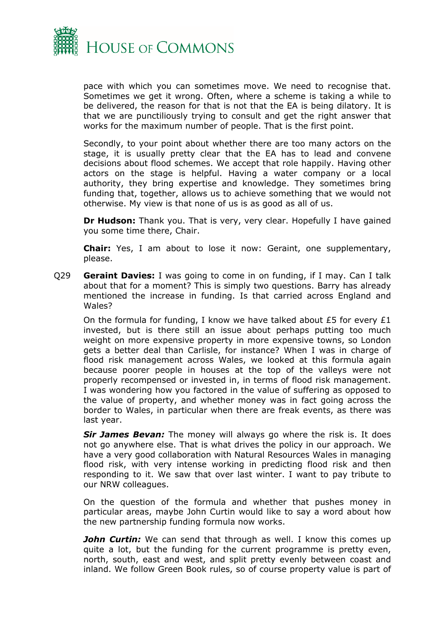

pace with which you can sometimes move. We need to recognise that. Sometimes we get it wrong. Often, where a scheme is taking a while to be delivered, the reason for that is not that the EA is being dilatory. It is that we are punctiliously trying to consult and get the right answer that works for the maximum number of people. That is the first point.

Secondly, to your point about whether there are too many actors on the stage, it is usually pretty clear that the EA has to lead and convene decisions about flood schemes. We accept that role happily. Having other actors on the stage is helpful. Having a water company or a local authority, they bring expertise and knowledge. They sometimes bring funding that, together, allows us to achieve something that we would not otherwise. My view is that none of us is as good as all of us.

**Dr Hudson:** Thank you. That is very, very clear. Hopefully I have gained you some time there, Chair.

**Chair:** Yes, I am about to lose it now: Geraint, one supplementary, please.

Q29 **Geraint Davies:** I was going to come in on funding, if I may. Can I talk about that for a moment? This is simply two questions. Barry has already mentioned the increase in funding. Is that carried across England and Wales?

On the formula for funding, I know we have talked about £5 for every £1 invested, but is there still an issue about perhaps putting too much weight on more expensive property in more expensive towns, so London gets a better deal than Carlisle, for instance? When I was in charge of flood risk management across Wales, we looked at this formula again because poorer people in houses at the top of the valleys were not properly recompensed or invested in, in terms of flood risk management. I was wondering how you factored in the value of suffering as opposed to the value of property, and whether money was in fact going across the border to Wales, in particular when there are freak events, as there was last year.

*Sir James Bevan:* The money will always go where the risk is. It does not go anywhere else. That is what drives the policy in our approach. We have a very good collaboration with Natural Resources Wales in managing flood risk, with very intense working in predicting flood risk and then responding to it. We saw that over last winter. I want to pay tribute to our NRW colleagues.

On the question of the formula and whether that pushes money in particular areas, maybe John Curtin would like to say a word about how the new partnership funding formula now works.

**John Curtin:** We can send that through as well. I know this comes up quite a lot, but the funding for the current programme is pretty even, north, south, east and west, and split pretty evenly between coast and inland. We follow Green Book rules, so of course property value is part of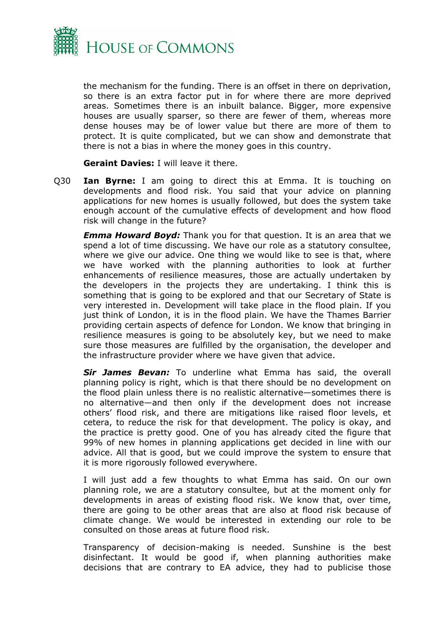

the mechanism for the funding. There is an offset in there on deprivation, so there is an extra factor put in for where there are more deprived areas. Sometimes there is an inbuilt balance. Bigger, more expensive houses are usually sparser, so there are fewer of them, whereas more dense houses may be of lower value but there are more of them to protect. It is quite complicated, but we can show and demonstrate that there is not a bias in where the money goes in this country.

**Geraint Davies:** I will leave it there.

Q30 **Ian Byrne:** I am going to direct this at Emma. It is touching on developments and flood risk. You said that your advice on planning applications for new homes is usually followed, but does the system take enough account of the cumulative effects of development and how flood risk will change in the future?

*Emma Howard Boyd:* Thank you for that question. It is an area that we spend a lot of time discussing. We have our role as a statutory consultee, where we give our advice. One thing we would like to see is that, where we have worked with the planning authorities to look at further enhancements of resilience measures, those are actually undertaken by the developers in the projects they are undertaking. I think this is something that is going to be explored and that our Secretary of State is very interested in. Development will take place in the flood plain. If you just think of London, it is in the flood plain. We have the Thames Barrier providing certain aspects of defence for London. We know that bringing in resilience measures is going to be absolutely key, but we need to make sure those measures are fulfilled by the organisation, the developer and the infrastructure provider where we have given that advice.

*Sir James Bevan:* To underline what Emma has said, the overall planning policy is right, which is that there should be no development on the flood plain unless there is no realistic alternative—sometimes there is no alternative—and then only if the development does not increase others' flood risk, and there are mitigations like raised floor levels, et cetera, to reduce the risk for that development. The policy is okay, and the practice is pretty good. One of you has already cited the figure that 99% of new homes in planning applications get decided in line with our advice. All that is good, but we could improve the system to ensure that it is more rigorously followed everywhere.

I will just add a few thoughts to what Emma has said. On our own planning role, we are a statutory consultee, but at the moment only for developments in areas of existing flood risk. We know that, over time, there are going to be other areas that are also at flood risk because of climate change. We would be interested in extending our role to be consulted on those areas at future flood risk.

Transparency of decision-making is needed. Sunshine is the best disinfectant. It would be good if, when planning authorities make decisions that are contrary to EA advice, they had to publicise those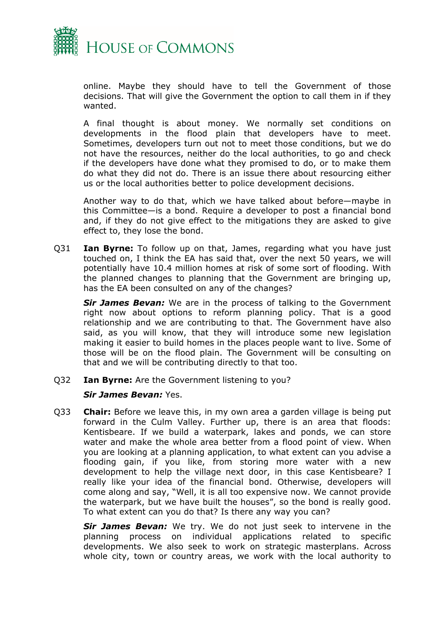

online. Maybe they should have to tell the Government of those decisions. That will give the Government the option to call them in if they wanted.

A final thought is about money. We normally set conditions on developments in the flood plain that developers have to meet. Sometimes, developers turn out not to meet those conditions, but we do not have the resources, neither do the local authorities, to go and check if the developers have done what they promised to do, or to make them do what they did not do. There is an issue there about resourcing either us or the local authorities better to police development decisions.

Another way to do that, which we have talked about before—maybe in this Committee—is a bond. Require a developer to post a financial bond and, if they do not give effect to the mitigations they are asked to give effect to, they lose the bond.

Q31 **Ian Byrne:** To follow up on that, James, regarding what you have just touched on, I think the EA has said that, over the next 50 years, we will potentially have 10.4 million homes at risk of some sort of flooding. With the planned changes to planning that the Government are bringing up, has the EA been consulted on any of the changes?

*Sir James Bevan:* We are in the process of talking to the Government right now about options to reform planning policy. That is a good relationship and we are contributing to that. The Government have also said, as you will know, that they will introduce some new legislation making it easier to build homes in the places people want to live. Some of those will be on the flood plain. The Government will be consulting on that and we will be contributing directly to that too.

Q32 **Ian Byrne:** Are the Government listening to you?

#### *Sir James Bevan:* Yes.

Q33 **Chair:** Before we leave this, in my own area a garden village is being put forward in the Culm Valley. Further up, there is an area that floods: Kentisbeare. If we build a waterpark, lakes and ponds, we can store water and make the whole area better from a flood point of view. When you are looking at a planning application, to what extent can you advise a flooding gain, if you like, from storing more water with a new development to help the village next door, in this case Kentisbeare? I really like your idea of the financial bond. Otherwise, developers will come along and say, "Well, it is all too expensive now. We cannot provide the waterpark, but we have built the houses", so the bond is really good. To what extent can you do that? Is there any way you can?

*Sir James Bevan:* We try. We do not just seek to intervene in the planning process on individual applications related to specific developments. We also seek to work on strategic masterplans. Across whole city, town or country areas, we work with the local authority to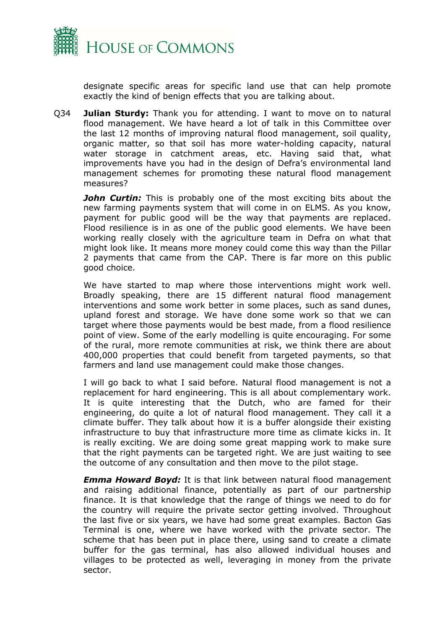

designate specific areas for specific land use that can help promote exactly the kind of benign effects that you are talking about.

Q34 **Julian Sturdy:** Thank you for attending. I want to move on to natural flood management. We have heard a lot of talk in this Committee over the last 12 months of improving natural flood management, soil quality, organic matter, so that soil has more water-holding capacity, natural water storage in catchment areas, etc. Having said that, what improvements have you had in the design of Defra's environmental land management schemes for promoting these natural flood management measures?

**John Curtin:** This is probably one of the most exciting bits about the new farming payments system that will come in on ELMS. As you know, payment for public good will be the way that payments are replaced. Flood resilience is in as one of the public good elements. We have been working really closely with the agriculture team in Defra on what that might look like. It means more money could come this way than the Pillar 2 payments that came from the CAP. There is far more on this public good choice.

We have started to map where those interventions might work well. Broadly speaking, there are 15 different natural flood management interventions and some work better in some places, such as sand dunes, upland forest and storage. We have done some work so that we can target where those payments would be best made, from a flood resilience point of view. Some of the early modelling is quite encouraging. For some of the rural, more remote communities at risk, we think there are about 400,000 properties that could benefit from targeted payments, so that farmers and land use management could make those changes.

I will go back to what I said before. Natural flood management is not a replacement for hard engineering. This is all about complementary work. It is quite interesting that the Dutch, who are famed for their engineering, do quite a lot of natural flood management. They call it a climate buffer. They talk about how it is a buffer alongside their existing infrastructure to buy that infrastructure more time as climate kicks in. It is really exciting. We are doing some great mapping work to make sure that the right payments can be targeted right. We are just waiting to see the outcome of any consultation and then move to the pilot stage.

*Emma Howard Boyd:* It is that link between natural flood management and raising additional finance, potentially as part of our partnership finance. It is that knowledge that the range of things we need to do for the country will require the private sector getting involved. Throughout the last five or six years, we have had some great examples. Bacton Gas Terminal is one, where we have worked with the private sector. The scheme that has been put in place there, using sand to create a climate buffer for the gas terminal, has also allowed individual houses and villages to be protected as well, leveraging in money from the private sector.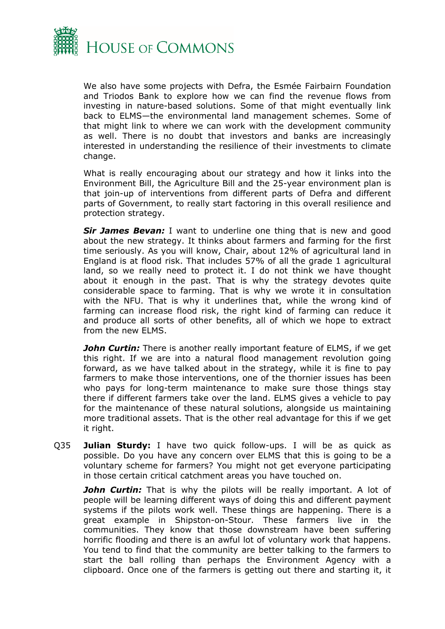

We also have some projects with Defra, the Esmée Fairbairn Foundation and Triodos Bank to explore how we can find the revenue flows from investing in nature-based solutions. Some of that might eventually link back to ELMS—the environmental land management schemes. Some of that might link to where we can work with the development community as well. There is no doubt that investors and banks are increasingly interested in understanding the resilience of their investments to climate change.

What is really encouraging about our strategy and how it links into the Environment Bill, the Agriculture Bill and the 25-year environment plan is that join-up of interventions from different parts of Defra and different parts of Government, to really start factoring in this overall resilience and protection strategy.

*Sir James Bevan:* I want to underline one thing that is new and good about the new strategy. It thinks about farmers and farming for the first time seriously. As you will know, Chair, about 12% of agricultural land in England is at flood risk. That includes 57% of all the grade 1 agricultural land, so we really need to protect it. I do not think we have thought about it enough in the past. That is why the strategy devotes quite considerable space to farming. That is why we wrote it in consultation with the NFU. That is why it underlines that, while the wrong kind of farming can increase flood risk, the right kind of farming can reduce it and produce all sorts of other benefits, all of which we hope to extract from the new ELMS.

*John Curtin:* There is another really important feature of ELMS, if we get this right. If we are into a natural flood management revolution going forward, as we have talked about in the strategy, while it is fine to pay farmers to make those interventions, one of the thornier issues has been who pays for long-term maintenance to make sure those things stay there if different farmers take over the land. ELMS gives a vehicle to pay for the maintenance of these natural solutions, alongside us maintaining more traditional assets. That is the other real advantage for this if we get it right.

Q35 **Julian Sturdy:** I have two quick follow-ups. I will be as quick as possible. Do you have any concern over ELMS that this is going to be a voluntary scheme for farmers? You might not get everyone participating in those certain critical catchment areas you have touched on.

**John Curtin:** That is why the pilots will be really important. A lot of people will be learning different ways of doing this and different payment systems if the pilots work well. These things are happening. There is a great example in Shipston-on-Stour. These farmers live in the communities. They know that those downstream have been suffering horrific flooding and there is an awful lot of voluntary work that happens. You tend to find that the community are better talking to the farmers to start the ball rolling than perhaps the Environment Agency with a clipboard. Once one of the farmers is getting out there and starting it, it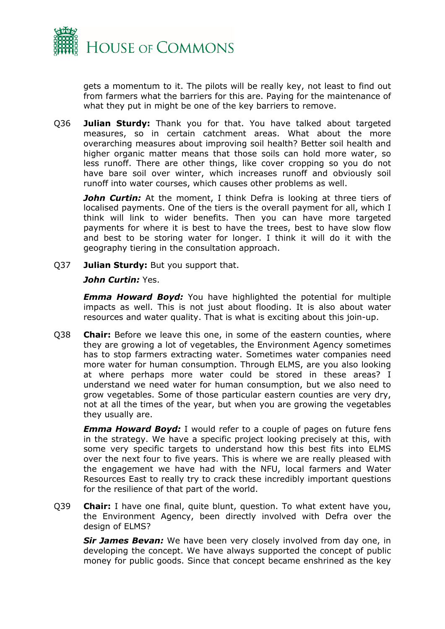

gets a momentum to it. The pilots will be really key, not least to find out from farmers what the barriers for this are. Paying for the maintenance of what they put in might be one of the key barriers to remove.

Q36 **Julian Sturdy:** Thank you for that. You have talked about targeted measures, so in certain catchment areas. What about the more overarching measures about improving soil health? Better soil health and higher organic matter means that those soils can hold more water, so less runoff. There are other things, like cover cropping so you do not have bare soil over winter, which increases runoff and obviously soil runoff into water courses, which causes other problems as well.

*John Curtin:* At the moment, I think Defra is looking at three tiers of localised payments. One of the tiers is the overall payment for all, which I think will link to wider benefits. Then you can have more targeted payments for where it is best to have the trees, best to have slow flow and best to be storing water for longer. I think it will do it with the geography tiering in the consultation approach.

Q37 **Julian Sturdy:** But you support that.

#### *John Curtin:* Yes.

*Emma Howard Boyd:* You have highlighted the potential for multiple impacts as well. This is not just about flooding. It is also about water resources and water quality. That is what is exciting about this join-up.

Q38 **Chair:** Before we leave this one, in some of the eastern counties, where they are growing a lot of vegetables, the Environment Agency sometimes has to stop farmers extracting water. Sometimes water companies need more water for human consumption. Through ELMS, are you also looking at where perhaps more water could be stored in these areas? I understand we need water for human consumption, but we also need to grow vegetables. Some of those particular eastern counties are very dry, not at all the times of the year, but when you are growing the vegetables they usually are.

*Emma Howard Boyd:* I would refer to a couple of pages on future fens in the strategy. We have a specific project looking precisely at this, with some very specific targets to understand how this best fits into ELMS over the next four to five years. This is where we are really pleased with the engagement we have had with the NFU, local farmers and Water Resources East to really try to crack these incredibly important questions for the resilience of that part of the world.

Q39 **Chair:** I have one final, quite blunt, question. To what extent have you, the Environment Agency, been directly involved with Defra over the design of ELMS?

*Sir James Bevan:* We have been very closely involved from day one, in developing the concept. We have always supported the concept of public money for public goods. Since that concept became enshrined as the key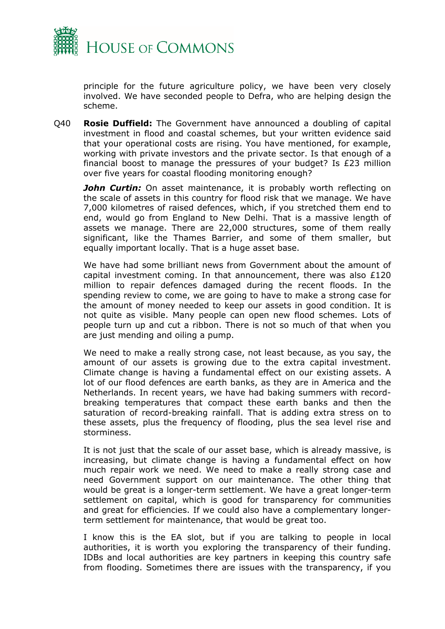

principle for the future agriculture policy, we have been very closely involved. We have seconded people to Defra, who are helping design the scheme.

Q40 **Rosie Duffield:** The Government have announced a doubling of capital investment in flood and coastal schemes, but your written evidence said that your operational costs are rising. You have mentioned, for example, working with private investors and the private sector. Is that enough of a financial boost to manage the pressures of your budget? Is £23 million over five years for coastal flooding monitoring enough?

**John Curtin:** On asset maintenance, it is probably worth reflecting on the scale of assets in this country for flood risk that we manage. We have 7,000 kilometres of raised defences, which, if you stretched them end to end, would go from England to New Delhi. That is a massive length of assets we manage. There are 22,000 structures, some of them really significant, like the Thames Barrier, and some of them smaller, but equally important locally. That is a huge asset base.

We have had some brilliant news from Government about the amount of capital investment coming. In that announcement, there was also  $£120$ million to repair defences damaged during the recent floods. In the spending review to come, we are going to have to make a strong case for the amount of money needed to keep our assets in good condition. It is not quite as visible. Many people can open new flood schemes. Lots of people turn up and cut a ribbon. There is not so much of that when you are just mending and oiling a pump.

We need to make a really strong case, not least because, as you say, the amount of our assets is growing due to the extra capital investment. Climate change is having a fundamental effect on our existing assets. A lot of our flood defences are earth banks, as they are in America and the Netherlands. In recent years, we have had baking summers with recordbreaking temperatures that compact these earth banks and then the saturation of record-breaking rainfall. That is adding extra stress on to these assets, plus the frequency of flooding, plus the sea level rise and storminess.

It is not just that the scale of our asset base, which is already massive, is increasing, but climate change is having a fundamental effect on how much repair work we need. We need to make a really strong case and need Government support on our maintenance. The other thing that would be great is a longer-term settlement. We have a great longer-term settlement on capital, which is good for transparency for communities and great for efficiencies. If we could also have a complementary longerterm settlement for maintenance, that would be great too.

I know this is the EA slot, but if you are talking to people in local authorities, it is worth you exploring the transparency of their funding. IDBs and local authorities are key partners in keeping this country safe from flooding. Sometimes there are issues with the transparency, if you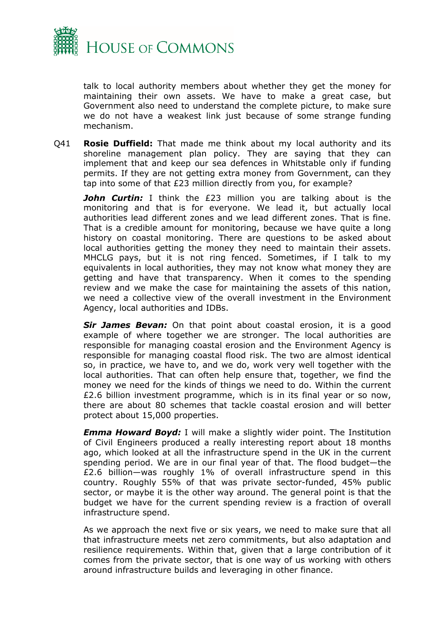

talk to local authority members about whether they get the money for maintaining their own assets. We have to make a great case, but Government also need to understand the complete picture, to make sure we do not have a weakest link just because of some strange funding mechanism.

Q41 **Rosie Duffield:** That made me think about my local authority and its shoreline management plan policy. They are saying that they can implement that and keep our sea defences in Whitstable only if funding permits. If they are not getting extra money from Government, can they tap into some of that £23 million directly from you, for example?

**John Curtin:** I think the £23 million you are talking about is the monitoring and that is for everyone. We lead it, but actually local authorities lead different zones and we lead different zones. That is fine. That is a credible amount for monitoring, because we have quite a long history on coastal monitoring. There are questions to be asked about local authorities getting the money they need to maintain their assets. MHCLG pays, but it is not ring fenced. Sometimes, if I talk to my equivalents in local authorities, they may not know what money they are getting and have that transparency. When it comes to the spending review and we make the case for maintaining the assets of this nation, we need a collective view of the overall investment in the Environment Agency, local authorities and IDBs.

*Sir James Bevan:* On that point about coastal erosion, it is a good example of where together we are stronger. The local authorities are responsible for managing coastal erosion and the Environment Agency is responsible for managing coastal flood risk. The two are almost identical so, in practice, we have to, and we do, work very well together with the local authorities. That can often help ensure that, together, we find the money we need for the kinds of things we need to do. Within the current £2.6 billion investment programme, which is in its final year or so now, there are about 80 schemes that tackle coastal erosion and will better protect about 15,000 properties.

*Emma Howard Boyd:* I will make a slightly wider point. The Institution of Civil Engineers produced a really interesting report about 18 months ago, which looked at all the infrastructure spend in the UK in the current spending period. We are in our final year of that. The flood budget—the £2.6 billion—was roughly 1% of overall infrastructure spend in this country. Roughly 55% of that was private sector-funded, 45% public sector, or maybe it is the other way around. The general point is that the budget we have for the current spending review is a fraction of overall infrastructure spend.

As we approach the next five or six years, we need to make sure that all that infrastructure meets net zero commitments, but also adaptation and resilience requirements. Within that, given that a large contribution of it comes from the private sector, that is one way of us working with others around infrastructure builds and leveraging in other finance.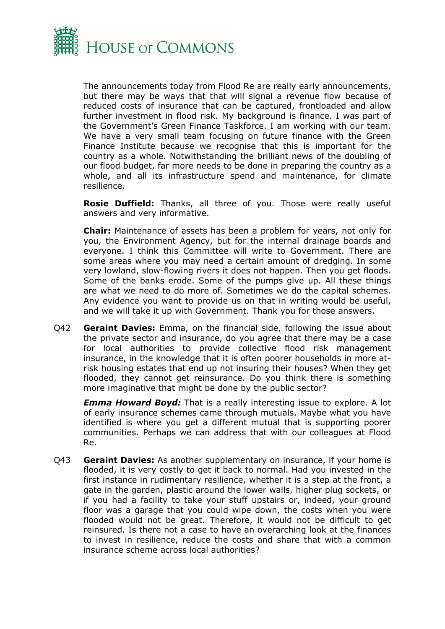

The announcements today from Flood Re are really early announcements, but there may be ways that that will signal a revenue flow because of reduced costs of insurance that can be captured, frontloaded and allow further investment in flood risk. My background is finance. I was part of the Government's Green Finance Taskforce. I am working with our team. We have a very small team focusing on future finance with the Green Finance Institute because we recognise that this is important for the country as a whole. Notwithstanding the brilliant news of the doubling of our flood budget, far more needs to be done in preparing the country as a whole, and all its infrastructure spend and maintenance, for climate resilience.

**Rosie Duffield:** Thanks, all three of you. Those were really useful answers and very informative.

**Chair:** Maintenance of assets has been a problem for years, not only for you, the Environment Agency, but for the internal drainage boards and everyone. I think this Committee will write to Government. There are some areas where you may need a certain amount of dredging. In some very lowland, slow-flowing rivers it does not happen. Then you get floods. Some of the banks erode. Some of the pumps give up. All these things are what we need to do more of. Sometimes we do the capital schemes. Any evidence you want to provide us on that in writing would be useful, and we will take it up with Government. Thank you for those answers.

Q42 **Geraint Davies:** Emma, on the financial side, following the issue about the private sector and insurance, do you agree that there may be a case for local authorities to provide collective flood risk management insurance, in the knowledge that it is often poorer households in more atrisk housing estates that end up not insuring their houses? When they get flooded, they cannot get reinsurance. Do you think there is something more imaginative that might be done by the public sector?

*Emma Howard Boyd:* That is a really interesting issue to explore. A lot of early insurance schemes came through mutuals. Maybe what you have identified is where you get a different mutual that is supporting poorer communities. Perhaps we can address that with our colleagues at Flood Re.

Q43 **Geraint Davies:** As another supplementary on insurance, if your home is flooded, it is very costly to get it back to normal. Had you invested in the first instance in rudimentary resilience, whether it is a step at the front, a gate in the garden, plastic around the lower walls, higher plug sockets, or if you had a facility to take your stuff upstairs or, indeed, your ground floor was a garage that you could wipe down, the costs when you were flooded would not be great. Therefore, it would not be difficult to get reinsured. Is there not a case to have an overarching look at the finances to invest in resilience, reduce the costs and share that with a common insurance scheme across local authorities?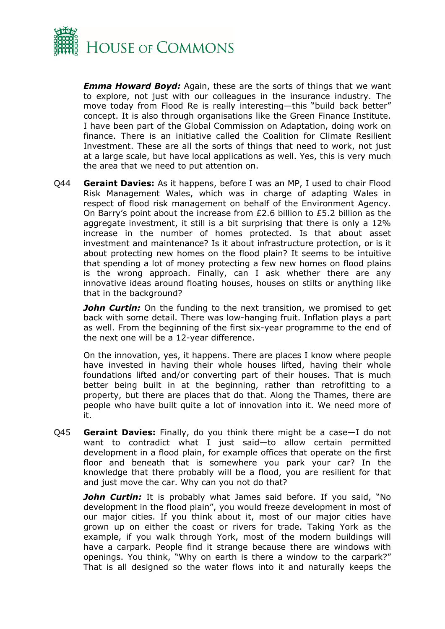

*Emma Howard Boyd:* Again, these are the sorts of things that we want to explore, not just with our colleagues in the insurance industry. The move today from Flood Re is really interesting—this "build back better" concept. It is also through organisations like the Green Finance Institute. I have been part of the Global Commission on Adaptation, doing work on finance. There is an initiative called the Coalition for Climate Resilient Investment. These are all the sorts of things that need to work, not just at a large scale, but have local applications as well. Yes, this is very much the area that we need to put attention on.

Q44 **Geraint Davies:** As it happens, before I was an MP, I used to chair Flood Risk Management Wales, which was in charge of adapting Wales in respect of flood risk management on behalf of the Environment Agency. On Barry's point about the increase from  $£2.6$  billion to  $£5.2$  billion as the aggregate investment, it still is a bit surprising that there is only a 12% increase in the number of homes protected. Is that about asset investment and maintenance? Is it about infrastructure protection, or is it about protecting new homes on the flood plain? It seems to be intuitive that spending a lot of money protecting a few new homes on flood plains is the wrong approach. Finally, can I ask whether there are any innovative ideas around floating houses, houses on stilts or anything like that in the background?

*John Curtin:* On the funding to the next transition, we promised to get back with some detail. There was low-hanging fruit. Inflation plays a part as well. From the beginning of the first six-year programme to the end of the next one will be a 12-year difference.

On the innovation, yes, it happens. There are places I know where people have invested in having their whole houses lifted, having their whole foundations lifted and/or converting part of their houses. That is much better being built in at the beginning, rather than retrofitting to a property, but there are places that do that. Along the Thames, there are people who have built quite a lot of innovation into it. We need more of it.

Q45 **Geraint Davies:** Finally, do you think there might be a case—I do not want to contradict what I just said—to allow certain permitted development in a flood plain, for example offices that operate on the first floor and beneath that is somewhere you park your car? In the knowledge that there probably will be a flood, you are resilient for that and just move the car. Why can you not do that?

*John Curtin:* It is probably what James said before. If you said, "No development in the flood plain", you would freeze development in most of our major cities. If you think about it, most of our major cities have grown up on either the coast or rivers for trade. Taking York as the example, if you walk through York, most of the modern buildings will have a carpark. People find it strange because there are windows with openings. You think, "Why on earth is there a window to the carpark?" That is all designed so the water flows into it and naturally keeps the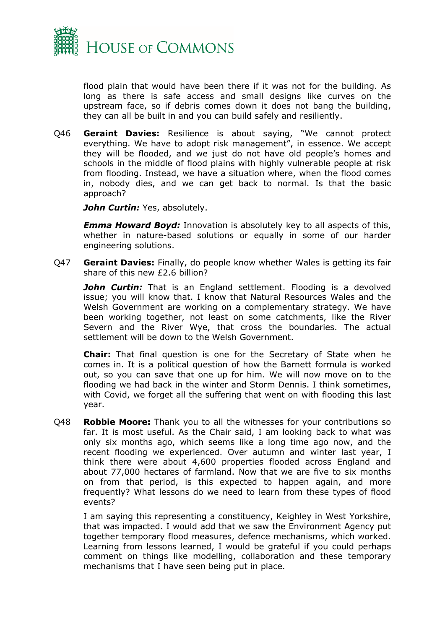

flood plain that would have been there if it was not for the building. As long as there is safe access and small designs like curves on the upstream face, so if debris comes down it does not bang the building, they can all be built in and you can build safely and resiliently.

Q46 **Geraint Davies:** Resilience is about saying, "We cannot protect everything. We have to adopt risk management", in essence. We accept they will be flooded, and we just do not have old people's homes and schools in the middle of flood plains with highly vulnerable people at risk from flooding. Instead, we have a situation where, when the flood comes in, nobody dies, and we can get back to normal. Is that the basic approach?

*John Curtin: Yes, absolutely.* 

*Emma Howard Boyd:* Innovation is absolutely key to all aspects of this, whether in nature-based solutions or equally in some of our harder engineering solutions.

Q47 **Geraint Davies:** Finally, do people know whether Wales is getting its fair share of this new £2.6 billion?

**John Curtin:** That is an England settlement. Flooding is a devolved issue; you will know that. I know that Natural Resources Wales and the Welsh Government are working on a complementary strategy. We have been working together, not least on some catchments, like the River Severn and the River Wye, that cross the boundaries. The actual settlement will be down to the Welsh Government.

**Chair:** That final question is one for the Secretary of State when he comes in. It is a political question of how the Barnett formula is worked out, so you can save that one up for him. We will now move on to the flooding we had back in the winter and Storm Dennis. I think sometimes, with Covid, we forget all the suffering that went on with flooding this last year.

Q48 **Robbie Moore:** Thank you to all the witnesses for your contributions so far. It is most useful. As the Chair said, I am looking back to what was only six months ago, which seems like a long time ago now, and the recent flooding we experienced. Over autumn and winter last year, I think there were about 4,600 properties flooded across England and about 77,000 hectares of farmland. Now that we are five to six months on from that period, is this expected to happen again, and more frequently? What lessons do we need to learn from these types of flood events?

I am saying this representing a constituency, Keighley in West Yorkshire, that was impacted. I would add that we saw the Environment Agency put together temporary flood measures, defence mechanisms, which worked. Learning from lessons learned, I would be grateful if you could perhaps comment on things like modelling, collaboration and these temporary mechanisms that I have seen being put in place.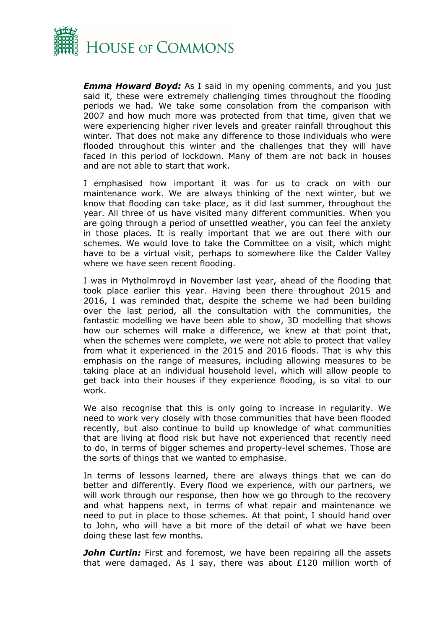

*Emma Howard Boyd:* As I said in my opening comments, and you just said it, these were extremely challenging times throughout the flooding periods we had. We take some consolation from the comparison with 2007 and how much more was protected from that time, given that we were experiencing higher river levels and greater rainfall throughout this winter. That does not make any difference to those individuals who were flooded throughout this winter and the challenges that they will have faced in this period of lockdown. Many of them are not back in houses and are not able to start that work.

I emphasised how important it was for us to crack on with our maintenance work. We are always thinking of the next winter, but we know that flooding can take place, as it did last summer, throughout the year. All three of us have visited many different communities. When you are going through a period of unsettled weather, you can feel the anxiety in those places. It is really important that we are out there with our schemes. We would love to take the Committee on a visit, which might have to be a virtual visit, perhaps to somewhere like the Calder Valley where we have seen recent flooding.

I was in Mytholmroyd in November last year, ahead of the flooding that took place earlier this year. Having been there throughout 2015 and 2016, I was reminded that, despite the scheme we had been building over the last period, all the consultation with the communities, the fantastic modelling we have been able to show, 3D modelling that shows how our schemes will make a difference, we knew at that point that, when the schemes were complete, we were not able to protect that valley from what it experienced in the 2015 and 2016 floods. That is why this emphasis on the range of measures, including allowing measures to be taking place at an individual household level, which will allow people to get back into their houses if they experience flooding, is so vital to our work.

We also recognise that this is only going to increase in regularity. We need to work very closely with those communities that have been flooded recently, but also continue to build up knowledge of what communities that are living at flood risk but have not experienced that recently need to do, in terms of bigger schemes and property-level schemes. Those are the sorts of things that we wanted to emphasise.

In terms of lessons learned, there are always things that we can do better and differently. Every flood we experience, with our partners, we will work through our response, then how we go through to the recovery and what happens next, in terms of what repair and maintenance we need to put in place to those schemes. At that point, I should hand over to John, who will have a bit more of the detail of what we have been doing these last few months.

**John Curtin:** First and foremost, we have been repairing all the assets that were damaged. As I say, there was about £120 million worth of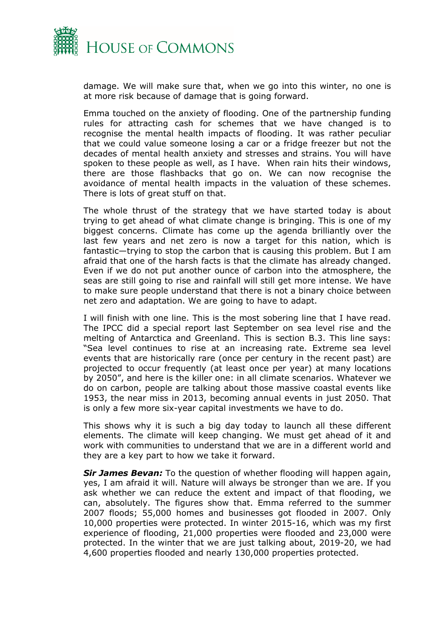

damage. We will make sure that, when we go into this winter, no one is at more risk because of damage that is going forward.

Emma touched on the anxiety of flooding. One of the partnership funding rules for attracting cash for schemes that we have changed is to recognise the mental health impacts of flooding. It was rather peculiar that we could value someone losing a car or a fridge freezer but not the decades of mental health anxiety and stresses and strains. You will have spoken to these people as well, as I have. When rain hits their windows, there are those flashbacks that go on. We can now recognise the avoidance of mental health impacts in the valuation of these schemes. There is lots of great stuff on that.

The whole thrust of the strategy that we have started today is about trying to get ahead of what climate change is bringing. This is one of my biggest concerns. Climate has come up the agenda brilliantly over the last few years and net zero is now a target for this nation, which is fantastic—trying to stop the carbon that is causing this problem. But I am afraid that one of the harsh facts is that the climate has already changed. Even if we do not put another ounce of carbon into the atmosphere, the seas are still going to rise and rainfall will still get more intense. We have to make sure people understand that there is not a binary choice between net zero and adaptation. We are going to have to adapt.

I will finish with one line. This is the most sobering line that I have read. The IPCC did a special report last September on sea level rise and the melting of Antarctica and Greenland. This is section B.3. This line says: "Sea level continues to rise at an increasing rate. Extreme sea level events that are historically rare (once per century in the recent past) are projected to occur frequently (at least once per year) at many locations by 2050", and here is the killer one: in all climate scenarios. Whatever we do on carbon, people are talking about those massive coastal events like 1953, the near miss in 2013, becoming annual events in just 2050. That is only a few more six-year capital investments we have to do.

This shows why it is such a big day today to launch all these different elements. The climate will keep changing. We must get ahead of it and work with communities to understand that we are in a different world and they are a key part to how we take it forward.

*Sir James Bevan:* To the question of whether flooding will happen again, yes, I am afraid it will. Nature will always be stronger than we are. If you ask whether we can reduce the extent and impact of that flooding, we can, absolutely. The figures show that. Emma referred to the summer 2007 floods; 55,000 homes and businesses got flooded in 2007. Only 10,000 properties were protected. In winter 2015-16, which was my first experience of flooding, 21,000 properties were flooded and 23,000 were protected. In the winter that we are just talking about, 2019-20, we had 4,600 properties flooded and nearly 130,000 properties protected.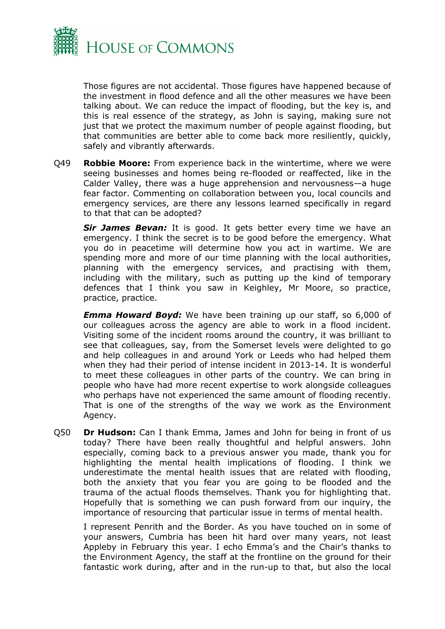

Those figures are not accidental. Those figures have happened because of the investment in flood defence and all the other measures we have been talking about. We can reduce the impact of flooding, but the key is, and this is real essence of the strategy, as John is saying, making sure not just that we protect the maximum number of people against flooding, but that communities are better able to come back more resiliently, quickly, safely and vibrantly afterwards.

Q49 **Robbie Moore:** From experience back in the wintertime, where we were seeing businesses and homes being re-flooded or reaffected, like in the Calder Valley, there was a huge apprehension and nervousness—a huge fear factor. Commenting on collaboration between you, local councils and emergency services, are there any lessons learned specifically in regard to that that can be adopted?

*Sir James Bevan:* It is good. It gets better every time we have an emergency. I think the secret is to be good before the emergency. What you do in peacetime will determine how you act in wartime. We are spending more and more of our time planning with the local authorities, planning with the emergency services, and practising with them, including with the military, such as putting up the kind of temporary defences that I think you saw in Keighley, Mr Moore, so practice, practice, practice.

*Emma Howard Boyd:* We have been training up our staff, so 6,000 of our colleagues across the agency are able to work in a flood incident. Visiting some of the incident rooms around the country, it was brilliant to see that colleagues, say, from the Somerset levels were delighted to go and help colleagues in and around York or Leeds who had helped them when they had their period of intense incident in 2013-14. It is wonderful to meet these colleagues in other parts of the country. We can bring in people who have had more recent expertise to work alongside colleagues who perhaps have not experienced the same amount of flooding recently. That is one of the strengths of the way we work as the Environment Agency.

Q50 **Dr Hudson:** Can I thank Emma, James and John for being in front of us today? There have been really thoughtful and helpful answers. John especially, coming back to a previous answer you made, thank you for highlighting the mental health implications of flooding. I think we underestimate the mental health issues that are related with flooding, both the anxiety that you fear you are going to be flooded and the trauma of the actual floods themselves. Thank you for highlighting that. Hopefully that is something we can push forward from our inquiry, the importance of resourcing that particular issue in terms of mental health.

I represent Penrith and the Border. As you have touched on in some of your answers, Cumbria has been hit hard over many years, not least Appleby in February this year. I echo Emma's and the Chair's thanks to the Environment Agency, the staff at the frontline on the ground for their fantastic work during, after and in the run-up to that, but also the local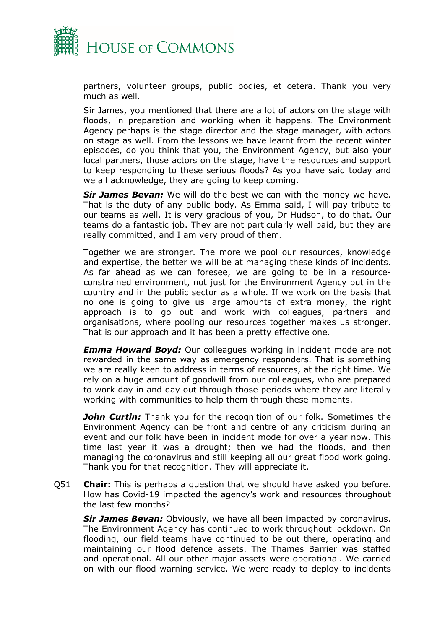

partners, volunteer groups, public bodies, et cetera. Thank you very much as well.

Sir James, you mentioned that there are a lot of actors on the stage with floods, in preparation and working when it happens. The Environment Agency perhaps is the stage director and the stage manager, with actors on stage as well. From the lessons we have learnt from the recent winter episodes, do you think that you, the Environment Agency, but also your local partners, those actors on the stage, have the resources and support to keep responding to these serious floods? As you have said today and we all acknowledge, they are going to keep coming.

*Sir James Bevan:* We will do the best we can with the money we have. That is the duty of any public body. As Emma said, I will pay tribute to our teams as well. It is very gracious of you, Dr Hudson, to do that. Our teams do a fantastic job. They are not particularly well paid, but they are really committed, and I am very proud of them.

Together we are stronger. The more we pool our resources, knowledge and expertise, the better we will be at managing these kinds of incidents. As far ahead as we can foresee, we are going to be in a resourceconstrained environment, not just for the Environment Agency but in the country and in the public sector as a whole. If we work on the basis that no one is going to give us large amounts of extra money, the right approach is to go out and work with colleagues, partners and organisations, where pooling our resources together makes us stronger. That is our approach and it has been a pretty effective one.

*Emma Howard Boyd:* Our colleagues working in incident mode are not rewarded in the same way as emergency responders. That is something we are really keen to address in terms of resources, at the right time. We rely on a huge amount of goodwill from our colleagues, who are prepared to work day in and day out through those periods where they are literally working with communities to help them through these moments.

**John Curtin:** Thank you for the recognition of our folk. Sometimes the Environment Agency can be front and centre of any criticism during an event and our folk have been in incident mode for over a year now. This time last year it was a drought; then we had the floods, and then managing the coronavirus and still keeping all our great flood work going. Thank you for that recognition. They will appreciate it.

Q51 **Chair:** This is perhaps a question that we should have asked you before. How has Covid-19 impacted the agency's work and resources throughout the last few months?

*Sir James Bevan:* Obviously, we have all been impacted by coronavirus. The Environment Agency has continued to work throughout lockdown. On flooding, our field teams have continued to be out there, operating and maintaining our flood defence assets. The Thames Barrier was staffed and operational. All our other major assets were operational. We carried on with our flood warning service. We were ready to deploy to incidents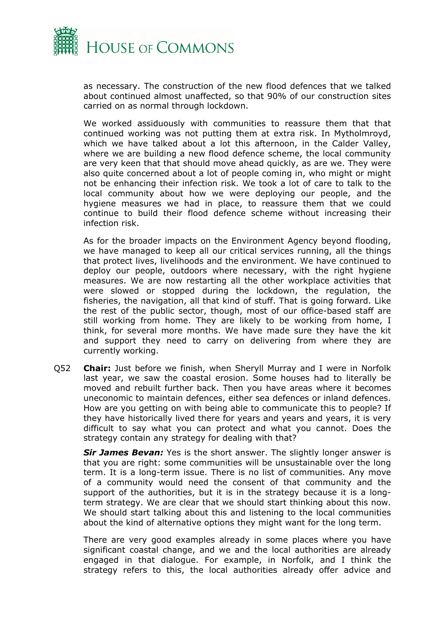

as necessary. The construction of the new flood defences that we talked about continued almost unaffected, so that 90% of our construction sites carried on as normal through lockdown.

We worked assiduously with communities to reassure them that that continued working was not putting them at extra risk. In Mytholmroyd, which we have talked about a lot this afternoon, in the Calder Valley, where we are building a new flood defence scheme, the local community are very keen that that should move ahead quickly, as are we. They were also quite concerned about a lot of people coming in, who might or might not be enhancing their infection risk. We took a lot of care to talk to the local community about how we were deploying our people, and the hygiene measures we had in place, to reassure them that we could continue to build their flood defence scheme without increasing their infection risk.

As for the broader impacts on the Environment Agency beyond flooding, we have managed to keep all our critical services running, all the things that protect lives, livelihoods and the environment. We have continued to deploy our people, outdoors where necessary, with the right hygiene measures. We are now restarting all the other workplace activities that were slowed or stopped during the lockdown, the regulation, the fisheries, the navigation, all that kind of stuff. That is going forward. Like the rest of the public sector, though, most of our office-based staff are still working from home. They are likely to be working from home, I think, for several more months. We have made sure they have the kit and support they need to carry on delivering from where they are currently working.

Q52 **Chair:** Just before we finish, when Sheryll Murray and I were in Norfolk last year, we saw the coastal erosion. Some houses had to literally be moved and rebuilt further back. Then you have areas where it becomes uneconomic to maintain defences, either sea defences or inland defences. How are you getting on with being able to communicate this to people? If they have historically lived there for years and years and years, it is very difficult to say what you can protect and what you cannot. Does the strategy contain any strategy for dealing with that?

*Sir James Bevan:* Yes is the short answer. The slightly longer answer is that you are right: some communities will be unsustainable over the long term. It is a long-term issue. There is no list of communities. Any move of a community would need the consent of that community and the support of the authorities, but it is in the strategy because it is a longterm strategy. We are clear that we should start thinking about this now. We should start talking about this and listening to the local communities about the kind of alternative options they might want for the long term.

There are very good examples already in some places where you have significant coastal change, and we and the local authorities are already engaged in that dialogue. For example, in Norfolk, and I think the strategy refers to this, the local authorities already offer advice and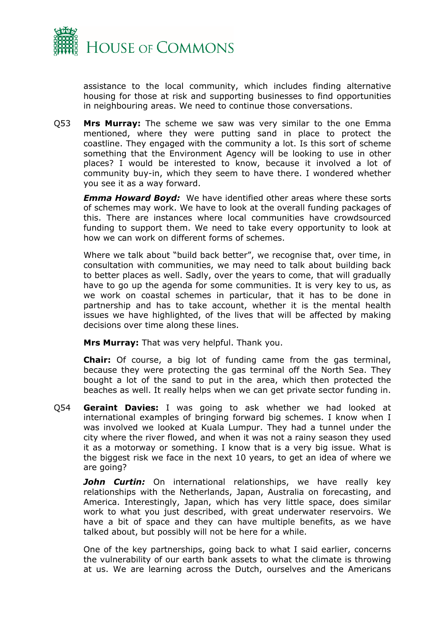

assistance to the local community, which includes finding alternative housing for those at risk and supporting businesses to find opportunities in neighbouring areas. We need to continue those conversations.

Q53 **Mrs Murray:** The scheme we saw was very similar to the one Emma mentioned, where they were putting sand in place to protect the coastline. They engaged with the community a lot. Is this sort of scheme something that the Environment Agency will be looking to use in other places? I would be interested to know, because it involved a lot of community buy-in, which they seem to have there. I wondered whether you see it as a way forward.

*Emma Howard Boyd:* We have identified other areas where these sorts of schemes may work. We have to look at the overall funding packages of this. There are instances where local communities have crowdsourced funding to support them. We need to take every opportunity to look at how we can work on different forms of schemes.

Where we talk about "build back better", we recognise that, over time, in consultation with communities, we may need to talk about building back to better places as well. Sadly, over the years to come, that will gradually have to go up the agenda for some communities. It is very key to us, as we work on coastal schemes in particular, that it has to be done in partnership and has to take account, whether it is the mental health issues we have highlighted, of the lives that will be affected by making decisions over time along these lines.

**Mrs Murray:** That was very helpful. Thank you.

**Chair:** Of course, a big lot of funding came from the gas terminal, because they were protecting the gas terminal off the North Sea. They bought a lot of the sand to put in the area, which then protected the beaches as well. It really helps when we can get private sector funding in.

Q54 **Geraint Davies:** I was going to ask whether we had looked at international examples of bringing forward big schemes. I know when I was involved we looked at Kuala Lumpur. They had a tunnel under the city where the river flowed, and when it was not a rainy season they used it as a motorway or something. I know that is a very big issue. What is the biggest risk we face in the next 10 years, to get an idea of where we are going?

*John Curtin:* On international relationships, we have really key relationships with the Netherlands, Japan, Australia on forecasting, and America. Interestingly, Japan, which has very little space, does similar work to what you just described, with great underwater reservoirs. We have a bit of space and they can have multiple benefits, as we have talked about, but possibly will not be here for a while.

One of the key partnerships, going back to what I said earlier, concerns the vulnerability of our earth bank assets to what the climate is throwing at us. We are learning across the Dutch, ourselves and the Americans